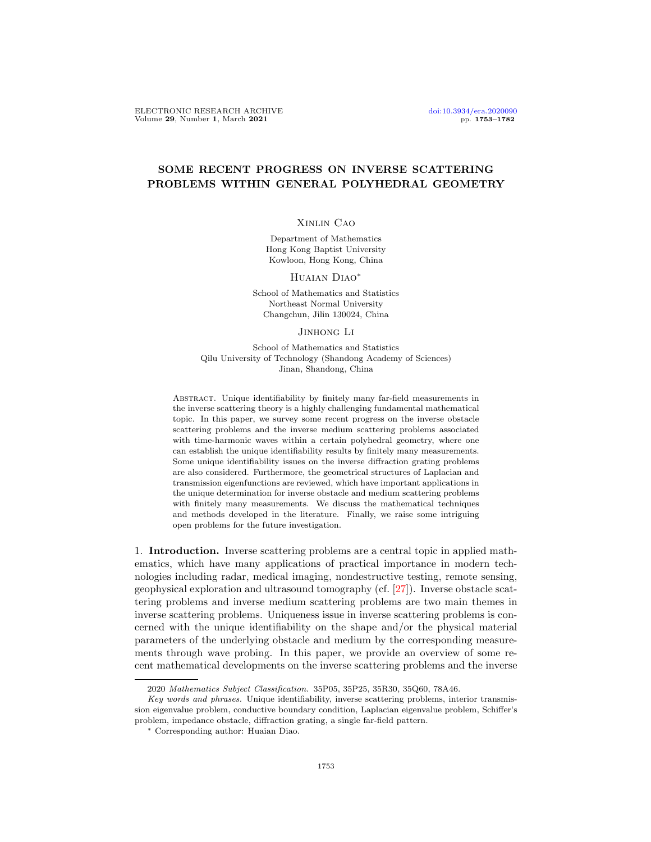## SOME RECENT PROGRESS ON INVERSE SCATTERING PROBLEMS WITHIN GENERAL POLYHEDRAL GEOMETRY

## Xinlin Cao

Department of Mathematics Hong Kong Baptist University Kowloon, Hong Kong, China

HUAIAN DIAO<sup>\*</sup>

School of Mathematics and Statistics Northeast Normal University Changchun, Jilin 130024, China

Jinhong Li

School of Mathematics and Statistics Qilu University of Technology (Shandong Academy of Sciences) Jinan, Shandong, China

Abstract. Unique identifiability by finitely many far-field measurements in the inverse scattering theory is a highly challenging fundamental mathematical topic. In this paper, we survey some recent progress on the inverse obstacle scattering problems and the inverse medium scattering problems associated with time-harmonic waves within a certain polyhedral geometry, where one can establish the unique identifiability results by finitely many measurements. Some unique identifiability issues on the inverse diffraction grating problems are also considered. Furthermore, the geometrical structures of Laplacian and transmission eigenfunctions are reviewed, which have important applications in the unique determination for inverse obstacle and medium scattering problems with finitely many measurements. We discuss the mathematical techniques and methods developed in the literature. Finally, we raise some intriguing open problems for the future investigation.

1. Introduction. Inverse scattering problems are a central topic in applied mathematics, which have many applications of practical importance in modern technologies including radar, medical imaging, nondestructive testing, remote sensing, geophysical exploration and ultrasound tomography (cf. [\[27\]](#page-28-0)). Inverse obstacle scattering problems and inverse medium scattering problems are two main themes in inverse scattering problems. Uniqueness issue in inverse scattering problems is concerned with the unique identifiability on the shape and/or the physical material parameters of the underlying obstacle and medium by the corresponding measurements through wave probing. In this paper, we provide an overview of some recent mathematical developments on the inverse scattering problems and the inverse

<sup>2020</sup> Mathematics Subject Classification. 35P05, 35P25, 35R30, 35Q60, 78A46.

Key words and phrases. Unique identifiability, inverse scattering problems, interior transmission eigenvalue problem, conductive boundary condition, Laplacian eigenvalue problem, Schiffer's problem, impedance obstacle, diffraction grating, a single far-field pattern.

<sup>∗</sup> Corresponding author: Huaian Diao.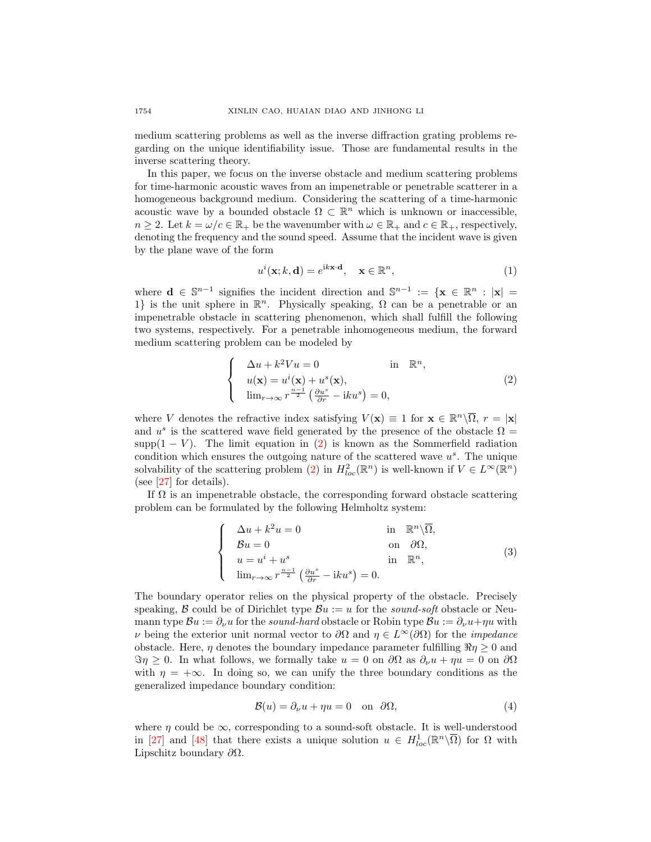medium scattering problems as well as the inverse diffraction grating problems regarding on the unique identifiability issue. Those are fundamental results in the inverse scattering theory.

In this paper, we focus on the inverse obstacle and medium scattering problems for time-harmonic acoustic waves from an impenetrable or penetrable scatterer in a homogeneous background medium. Considering the scattering of a time-harmonic acoustic wave by a bounded obstacle  $\Omega \subset \mathbb{R}^n$  which is unknown or inaccessible,  $n \geq 2$ . Let  $k = \omega/c \in \mathbb{R}_+$  be the wavenumber with  $\omega \in \mathbb{R}_+$  and  $c \in \mathbb{R}_+$ , respectively, denoting the frequency and the sound speed. Assume that the incident wave is given by the plane wave of the form

$$
u^{i}(\mathbf{x}; k, \mathbf{d}) = e^{i\mathbf{k}\mathbf{x}\cdot\mathbf{d}}, \quad \mathbf{x} \in \mathbb{R}^{n}, \tag{1}
$$

where  $\mathbf{d} \in \mathbb{S}^{n-1}$  signifies the incident direction and  $\mathbb{S}^{n-1} := \{ \mathbf{x} \in \mathbb{R}^n : |\mathbf{x}| =$ 1} is the unit sphere in  $\mathbb{R}^n$ . Physically speaking,  $\Omega$  can be a penetrable or an impenetrable obstacle in scattering phenomenon, which shall fulfill the following two systems, respectively. For a penetrable inhomogeneous medium, the forward medium scattering problem can be modeled by

<span id="page-1-0"></span>
$$
\begin{cases}\n\Delta u + k^2 V u = 0 & \text{in } \mathbb{R}^n, \\
u(\mathbf{x}) = u^i(\mathbf{x}) + u^s(\mathbf{x}), \\
\lim_{r \to \infty} r^{\frac{n-1}{2}} \left( \frac{\partial u^s}{\partial r} - i k u^s \right) = 0,\n\end{cases}
$$
\n(2)

where V denotes the refractive index satisfying  $V(\mathbf{x}) \equiv 1$  for  $\mathbf{x} \in \mathbb{R}^n \setminus \overline{\Omega}$ ,  $r = |\mathbf{x}|$ and  $u^s$  is the scattered wave field generated by the presence of the obstacle  $\Omega =$ supp $(1 - V)$ . The limit equation in  $(2)$  is known as the Sommerfield radiation condition which ensures the outgoing nature of the scattered wave  $u<sup>s</sup>$ . The unique solvability of the scattering problem [\(2\)](#page-1-0) in  $H_{loc}^2(\mathbb{R}^n)$  is well-known if  $V \in L^{\infty}(\mathbb{R}^n)$ (see [\[27\]](#page-28-0) for details).

If  $\Omega$  is an impenetrable obstacle, the corresponding forward obstacle scattering problem can be formulated by the following Helmholtz system:

<span id="page-1-1"></span>
$$
\begin{cases}\n\Delta u + k^2 u = 0 & \text{in } \mathbb{R}^n \setminus \overline{\Omega}, \\
\mathcal{B}u = 0 & \text{on } \partial \Omega, \\
u = u^i + u^s & \text{in } \mathbb{R}^n, \\
\lim_{r \to \infty} r^{\frac{n-1}{2}} \left( \frac{\partial u^s}{\partial r} - iku^s \right) = 0.\n\end{cases}
$$
\n(3)

The boundary operator relies on the physical property of the obstacle. Precisely speaking, B could be of Dirichlet type  $Bu := u$  for the sound-soft obstacle or Neumann type  $\mathcal{B}u := \partial_{\nu}u$  for the sound-hard obstacle or Robin type  $\mathcal{B}u := \partial_{\nu}u + \eta u$  with  $ν$  being the exterior unit normal vector to  $\partial Ω$  and  $η ∈ L<sup>∞</sup>(\partial Ω)$  for the *impedance* obstacle. Here,  $\eta$  denotes the boundary impedance parameter fulfilling  $\Re \eta \geq 0$  and  $\Im \eta \geq 0$ . In what follows, we formally take  $u = 0$  on  $\partial \Omega$  as  $\partial_{\nu} u + \eta u = 0$  on  $\partial \Omega$ with  $\eta = +\infty$ . In doing so, we can unify the three boundary conditions as the generalized impedance boundary condition:

$$
\mathcal{B}(u) = \partial_{\nu}u + \eta u = 0 \quad \text{on} \quad \partial\Omega,
$$
\n(4)

where  $\eta$  could be  $\infty$ , corresponding to a sound-soft obstacle. It is well-understood in [\[27\]](#page-28-0) and [\[48\]](#page-28-1) that there exists a unique solution  $u \in H^1_{loc}(\mathbb{R}^n \setminus \overline{\Omega})$  for  $\Omega$  with Lipschitz boundary  $\partial\Omega$ .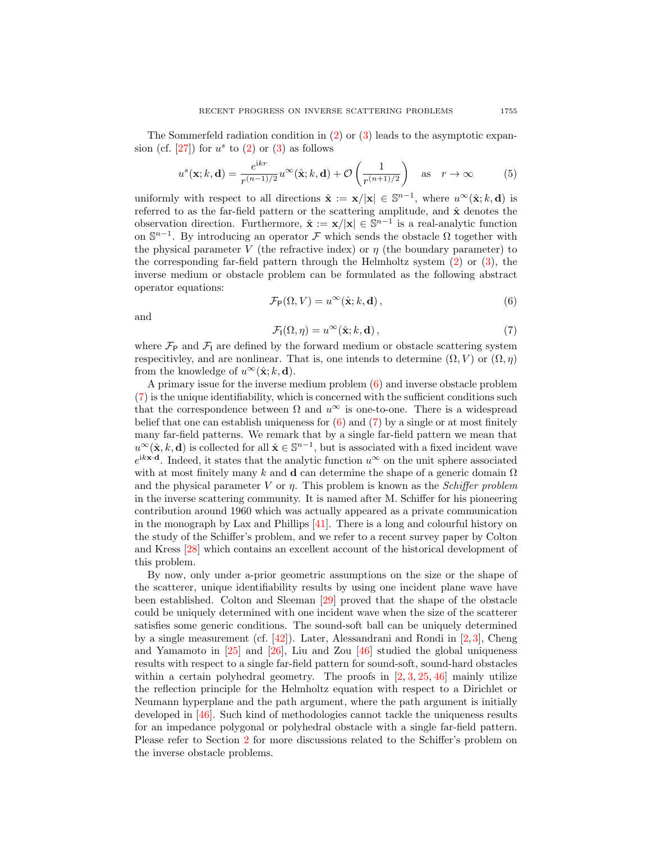The Sommerfeld radiation condition in [\(2\)](#page-1-0) or [\(3\)](#page-1-1) leads to the asymptotic expansion (cf.  $[27]$ ) for  $u^s$  to  $(2)$  or  $(3)$  as follows

<span id="page-2-2"></span>
$$
u^{s}(\mathbf{x}; k, \mathbf{d}) = \frac{e^{ikr}}{r^{(n-1)/2}} u^{\infty}(\hat{\mathbf{x}}; k, \mathbf{d}) + \mathcal{O}\left(\frac{1}{r^{(n+1)/2}}\right) \text{ as } r \to \infty
$$
 (5)

uniformly with respect to all directions  $\hat{\mathbf{x}} := \mathbf{x}/|\mathbf{x}| \in \mathbb{S}^{n-1}$ , where  $u^{\infty}(\hat{\mathbf{x}}; k, \mathbf{d})$  is referred to as the far-field pattern or the scattering amplitude, and  $\hat{\mathbf{x}}$  denotes the observation direction. Furthermore,  $\hat{\mathbf{x}} := \mathbf{x}/|\mathbf{x}| \in \mathbb{S}^{n-1}$  is a real-analytic function on  $\mathbb{S}^{n-1}$ . By introducing an operator F which sends the obstacle  $\Omega$  together with the physical parameter V (the refractive index) or  $\eta$  (the boundary parameter) to the corresponding far-field pattern through the Helmholtz system [\(2\)](#page-1-0) or [\(3\)](#page-1-1), the inverse medium or obstacle problem can be formulated as the following abstract operator equations:

<span id="page-2-0"></span>
$$
\mathcal{F}_{\mathsf{P}}(\Omega, V) = u^{\infty}(\hat{\mathbf{x}}; k, \mathbf{d}), \qquad (6)
$$

and

<span id="page-2-1"></span>
$$
\mathcal{F}_{I}(\Omega,\eta) = u^{\infty}(\hat{\mathbf{x}};k,\mathbf{d}),\tag{7}
$$

where  $\mathcal{F}_{P}$  and  $\mathcal{F}_{I}$  are defined by the forward medium or obstacle scattering system respecitivley, and are nonlinear. That is, one intends to determine  $(\Omega, V)$  or  $(\Omega, \eta)$ from the knowledge of  $u^{\infty}(\hat{\mathbf{x}}; k, \mathbf{d})$ .

A primary issue for the inverse medium problem [\(6\)](#page-2-0) and inverse obstacle problem [\(7\)](#page-2-1) is the unique identifiability, which is concerned with the sufficient conditions such that the correspondence between  $\Omega$  and  $u^{\infty}$  is one-to-one. There is a widespread belief that one can establish uniqueness for  $(6)$  and  $(7)$  by a single or at most finitely many far-field patterns. We remark that by a single far-field pattern we mean that  $u^{\infty}(\hat{\mathbf{x}},k,\mathbf{d})$  is collected for all  $\hat{\mathbf{x}} \in \mathbb{S}^{n-1}$ , but is associated with a fixed incident wave  $e^{i k \mathbf{x} \cdot \mathbf{d}}$ . Indeed, it states that the analytic function  $u^{\infty}$  on the unit sphere associated with at most finitely many k and **d** can determine the shape of a generic domain  $\Omega$ and the physical parameter V or  $\eta$ . This problem is known as the *Schiffer problem* in the inverse scattering community. It is named after M. Schiffer for his pioneering contribution around 1960 which was actually appeared as a private communication in the monograph by Lax and Phillips [\[41\]](#page-28-2). There is a long and colourful history on the study of the Schiffer's problem, and we refer to a recent survey paper by Colton and Kress [\[28\]](#page-28-3) which contains an excellent account of the historical development of this problem.

By now, only under a-prior geometric assumptions on the size or the shape of the scatterer, unique identifiability results by using one incident plane wave have been established. Colton and Sleeman [\[29\]](#page-28-4) proved that the shape of the obstacle could be uniquely determined with one incident wave when the size of the scatterer satisfies some generic conditions. The sound-soft ball can be uniquely determined by a single measurement (cf. [\[42\]](#page-28-5)). Later, Alessandrani and Rondi in [\[2,](#page-27-0) [3\]](#page-27-1), Cheng and Yamamoto in  $[25]$  and  $[26]$ , Liu and Zou  $[46]$  studied the global uniqueness results with respect to a single far-field pattern for sound-soft, sound-hard obstacles within a certain polyhedral geometry. The proofs in  $[2, 3, 25, 46]$  $[2, 3, 25, 46]$  $[2, 3, 25, 46]$  $[2, 3, 25, 46]$  $[2, 3, 25, 46]$  $[2, 3, 25, 46]$  mainly utilize the reflection principle for the Helmholtz equation with respect to a Dirichlet or Neumann hyperplane and the path argument, where the path argument is initially developed in [\[46\]](#page-28-6). Such kind of methodologies cannot tackle the uniqueness results for an impedance polygonal or polyhedral obstacle with a single far-field pattern. Please refer to Section [2](#page-5-0) for more discussions related to the Schiffer's problem on the inverse obstacle problems.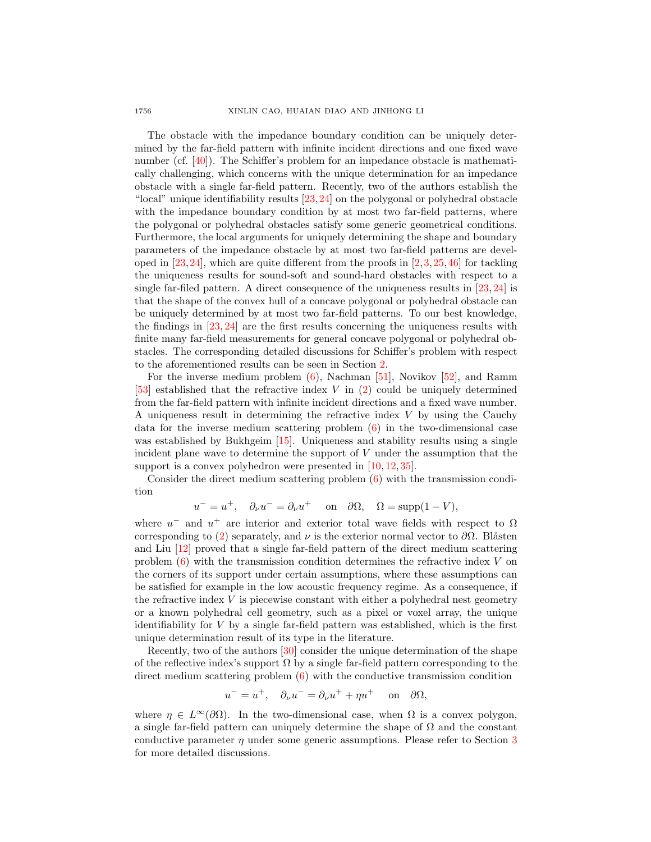The obstacle with the impedance boundary condition can be uniquely determined by the far-field pattern with infinite incident directions and one fixed wave number (cf. [\[40\]](#page-28-7)). The Schiffer's problem for an impedance obstacle is mathematically challenging, which concerns with the unique determination for an impedance obstacle with a single far-field pattern. Recently, two of the authors establish the "local" unique identifiability results [\[23,](#page-27-4)[24\]](#page-27-5) on the polygonal or polyhedral obstacle with the impedance boundary condition by at most two far-field patterns, where the polygonal or polyhedral obstacles satisfy some generic geometrical conditions. Furthermore, the local arguments for uniquely determining the shape and boundary parameters of the impedance obstacle by at most two far-field patterns are developed in  $[23,24]$  $[23,24]$ , which are quite different from the proofs in  $[2,3,25,46]$  $[2,3,25,46]$  $[2,3,25,46]$  $[2,3,25,46]$  for tackling the uniqueness results for sound-soft and sound-hard obstacles with respect to a single far-filed pattern. A direct consequence of the uniqueness results in [\[23,](#page-27-4) [24\]](#page-27-5) is that the shape of the convex hull of a concave polygonal or polyhedral obstacle can be uniquely determined by at most two far-field patterns. To our best knowledge, the findings in [\[23,](#page-27-4) [24\]](#page-27-5) are the first results concerning the uniqueness results with finite many far-field measurements for general concave polygonal or polyhedral obstacles. The corresponding detailed discussions for Schiffer's problem with respect to the aforementioned results can be seen in Section [2.](#page-5-0)

For the inverse medium problem  $(6)$ , Nachman [\[51\]](#page-28-8), Novikov [\[52\]](#page-28-9), and Ramm [\[53\]](#page-28-10) established that the refractive index V in [\(2\)](#page-1-0) could be uniquely determined from the far-field pattern with infinite incident directions and a fixed wave number. A uniqueness result in determining the refractive index  $V$  by using the Cauchy data for the inverse medium scattering problem [\(6\)](#page-2-0) in the two-dimensional case was established by Bukhgeim [\[15\]](#page-27-6). Uniqueness and stability results using a single incident plane wave to determine the support of  $V$  under the assumption that the support is a convex polyhedron were presented in [\[10,](#page-27-7) [12,](#page-27-8) [35\]](#page-28-11).

Consider the direct medium scattering problem [\(6\)](#page-2-0) with the transmission condition

 $u^- = u^+, \quad \partial_\nu u^- = \partial_\nu u^+ \quad \text{ on } \quad \partial\Omega, \quad \Omega = \text{supp}(1 - V),$ 

where  $u^-$  and  $u^+$  are interior and exterior total wave fields with respect to  $\Omega$ corresponding to [\(2\)](#page-1-0) separately, and  $\nu$  is the exterior normal vector to  $\partial\Omega$ . Blåsten and Liu [\[12\]](#page-27-8) proved that a single far-field pattern of the direct medium scattering problem  $(6)$  with the transmission condition determines the refractive index V on the corners of its support under certain assumptions, where these assumptions can be satisfied for example in the low acoustic frequency regime. As a consequence, if the refractive index  $V$  is piecewise constant with either a polyhedral nest geometry or a known polyhedral cell geometry, such as a pixel or voxel array, the unique identifiability for  $V$  by a single far-field pattern was established, which is the first unique determination result of its type in the literature.

Recently, two of the authors [\[30\]](#page-28-12) consider the unique determination of the shape of the reflective index's support  $\Omega$  by a single far-field pattern corresponding to the direct medium scattering problem [\(6\)](#page-2-0) with the conductive transmission condition

$$
u^- = u^+, \quad \partial_\nu u^- = \partial_\nu u^+ + \eta u^+ \quad \text{on} \quad \partial\Omega,
$$

where  $\eta \in L^{\infty}(\partial \Omega)$ . In the two-dimensional case, when  $\Omega$  is a convex polygon, a single far-field pattern can uniquely determine the shape of  $\Omega$  and the constant conductive parameter  $\eta$  under some generic assumptions. Please refer to Section [3](#page-14-0) for more detailed discussions.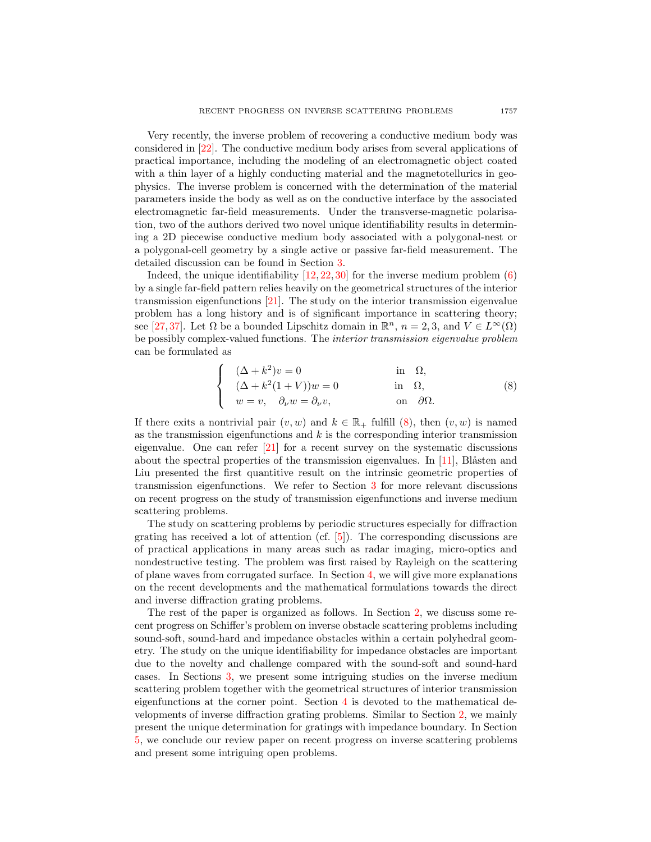Very recently, the inverse problem of recovering a conductive medium body was considered in [\[22\]](#page-27-9). The conductive medium body arises from several applications of practical importance, including the modeling of an electromagnetic object coated with a thin layer of a highly conducting material and the magnetotellurics in geophysics. The inverse problem is concerned with the determination of the material parameters inside the body as well as on the conductive interface by the associated electromagnetic far-field measurements. Under the transverse-magnetic polarisation, two of the authors derived two novel unique identifiability results in determining a 2D piecewise conductive medium body associated with a polygonal-nest or a polygonal-cell geometry by a single active or passive far-field measurement. The detailed discussion can be found in Section [3.](#page-14-0)

Indeed, the unique identifiability  $[12, 22, 30]$  $[12, 22, 30]$  $[12, 22, 30]$  $[12, 22, 30]$  for the inverse medium problem  $(6)$ by a single far-field pattern relies heavily on the geometrical structures of the interior transmission eigenfunctions [\[21\]](#page-27-10). The study on the interior transmission eigenvalue problem has a long history and is of significant importance in scattering theory; see [\[27,](#page-28-0)[37\]](#page-28-13). Let  $\Omega$  be a bounded Lipschitz domain in  $\mathbb{R}^n$ ,  $n = 2, 3$ , and  $V \in L^{\infty}(\Omega)$ be possibly complex-valued functions. The interior transmission eigenvalue problem can be formulated as

<span id="page-4-0"></span>
$$
\begin{cases}\n(\Delta + k^2)v = 0 & \text{in } \Omega, \\
(\Delta + k^2(1 + V))w = 0 & \text{in } \Omega, \\
w = v, \quad \partial_\nu w = \partial_\nu v, & \text{on } \partial\Omega.\n\end{cases}
$$
\n(8)

If there exits a nontrivial pair  $(v, w)$  and  $k \in \mathbb{R}_+$  fulfill [\(8\)](#page-4-0), then  $(v, w)$  is named as the transmission eigenfunctions and  $k$  is the corresponding interior transmission eigenvalue. One can refer  $\left|2\right|$  for a recent survey on the systematic discussions about the spectral properties of the transmission eigenvalues. In  $[11]$ , Blåsten and Liu presented the first quantitive result on the intrinsic geometric properties of transmission eigenfunctions. We refer to Section [3](#page-14-0) for more relevant discussions on recent progress on the study of transmission eigenfunctions and inverse medium scattering problems.

The study on scattering problems by periodic structures especially for diffraction grating has received a lot of attention (cf. [\[5\]](#page-27-12)). The corresponding discussions are of practical applications in many areas such as radar imaging, micro-optics and nondestructive testing. The problem was first raised by Rayleigh on the scattering of plane waves from corrugated surface. In Section [4,](#page-22-0) we will give more explanations on the recent developments and the mathematical formulations towards the direct and inverse diffraction grating problems.

The rest of the paper is organized as follows. In Section [2,](#page-5-0) we discuss some recent progress on Schiffer's problem on inverse obstacle scattering problems including sound-soft, sound-hard and impedance obstacles within a certain polyhedral geometry. The study on the unique identifiability for impedance obstacles are important due to the novelty and challenge compared with the sound-soft and sound-hard cases. In Sections [3,](#page-14-0) we present some intriguing studies on the inverse medium scattering problem together with the geometrical structures of interior transmission eigenfunctions at the corner point. Section [4](#page-22-0) is devoted to the mathematical developments of inverse diffraction grating problems. Similar to Section [2,](#page-5-0) we mainly present the unique determination for gratings with impedance boundary. In Section [5,](#page-25-0) we conclude our review paper on recent progress on inverse scattering problems and present some intriguing open problems.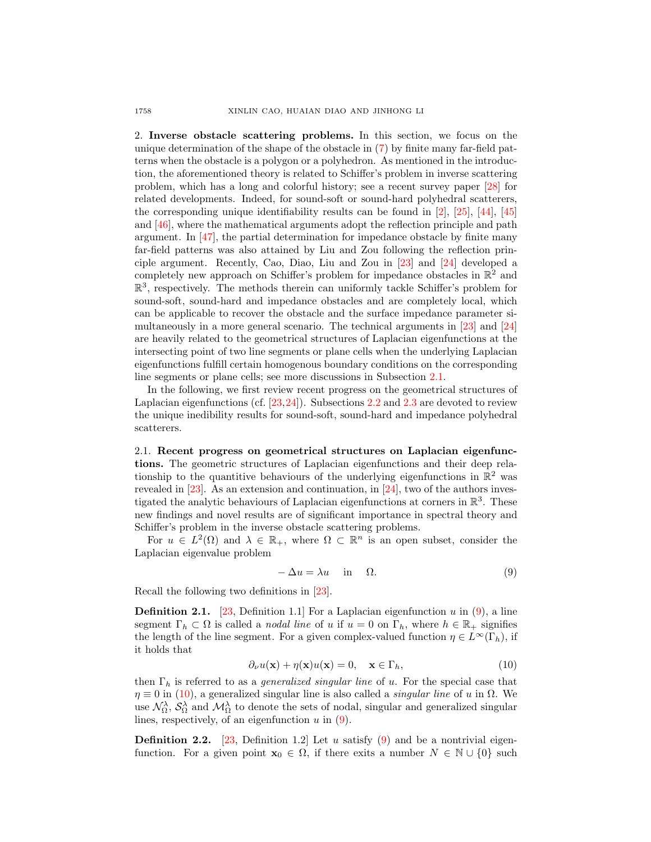<span id="page-5-0"></span>2. Inverse obstacle scattering problems. In this section, we focus on the unique determination of the shape of the obstacle in [\(7\)](#page-2-1) by finite many far-field patterns when the obstacle is a polygon or a polyhedron. As mentioned in the introduction, the aforementioned theory is related to Schiffer's problem in inverse scattering problem, which has a long and colorful history; see a recent survey paper [\[28\]](#page-28-3) for related developments. Indeed, for sound-soft or sound-hard polyhedral scatterers, the corresponding unique identifiability results can be found in [\[2\]](#page-27-0), [\[25\]](#page-27-2), [\[44\]](#page-28-14), [\[45\]](#page-28-15) and [\[46\]](#page-28-6), where the mathematical arguments adopt the reflection principle and path argument. In  $\left[47\right]$ , the partial determination for impedance obstacle by finite many far-field patterns was also attained by Liu and Zou following the reflection principle argument. Recently, Cao, Diao, Liu and Zou in [\[23\]](#page-27-4) and [\[24\]](#page-27-5) developed a completely new approach on Schiffer's problem for impedance obstacles in  $\mathbb{R}^2$  and  $\mathbb{R}^3$ , respectively. The methods therein can uniformly tackle Schiffer's problem for sound-soft, sound-hard and impedance obstacles and are completely local, which can be applicable to recover the obstacle and the surface impedance parameter simultaneously in a more general scenario. The technical arguments in [\[23\]](#page-27-4) and [\[24\]](#page-27-5) are heavily related to the geometrical structures of Laplacian eigenfunctions at the intersecting point of two line segments or plane cells when the underlying Laplacian eigenfunctions fulfill certain homogenous boundary conditions on the corresponding line segments or plane cells; see more discussions in Subsection [2.1.](#page-5-1)

In the following, we first review recent progress on the geometrical structures of Laplacian eigenfunctions (cf. [\[23,](#page-27-4)[24\]](#page-27-5)). Subsections [2.2](#page-8-0) and [2.3](#page-9-0) are devoted to review the unique inedibility results for sound-soft, sound-hard and impedance polyhedral scatterers.

<span id="page-5-1"></span>2.1. Recent progress on geometrical structures on Laplacian eigenfunctions. The geometric structures of Laplacian eigenfunctions and their deep relationship to the quantitive behaviours of the underlying eigenfunctions in  $\mathbb{R}^2$  was revealed in [\[23\]](#page-27-4). As an extension and continuation, in [\[24\]](#page-27-5), two of the authors investigated the analytic behaviours of Laplacian eigenfunctions at corners in  $\mathbb{R}^3$ . These new findings and novel results are of significant importance in spectral theory and Schiffer's problem in the inverse obstacle scattering problems.

For  $u \in L^2(\Omega)$  and  $\lambda \in \mathbb{R}_+$ , where  $\Omega \subset \mathbb{R}^n$  is an open subset, consider the Laplacian eigenvalue problem

<span id="page-5-2"></span>
$$
-\Delta u = \lambda u \quad \text{in} \quad \Omega. \tag{9}
$$

Recall the following two definitions in [\[23\]](#page-27-4).

<span id="page-5-4"></span>**Definition 2.1.** [\[23,](#page-27-4) Definition 1.1] For a Laplacian eigenfunction u in [\(9\)](#page-5-2), a line segment  $\Gamma_h \subset \Omega$  is called a *nodal line* of u if  $u = 0$  on  $\Gamma_h$ , where  $h \in \mathbb{R}_+$  signifies the length of the line segment. For a given complex-valued function  $\eta \in L^{\infty}(\Gamma_h)$ , if it holds that

<span id="page-5-3"></span>
$$
\partial_{\nu}u(\mathbf{x}) + \eta(\mathbf{x})u(\mathbf{x}) = 0, \quad \mathbf{x} \in \Gamma_h,
$$
\n(10)

then  $\Gamma_h$  is referred to as a *generalized singular line* of u. For the special case that  $\eta \equiv 0$  in [\(10\)](#page-5-3), a generalized singular line is also called a *singular line* of u in  $\Omega$ . We use  $\mathcal{N}_{\Omega}^{\lambda}$ ,  $\mathcal{S}_{\Omega}^{\lambda}$  and  $\mathcal{M}_{\Omega}^{\lambda}$  to denote the sets of nodal, singular and generalized singular lines, respectively, of an eigenfunction  $u$  in  $(9)$ .

<span id="page-5-5"></span>**Definition 2.2.** [\[23,](#page-27-4) Definition 1.2] Let u satisfy [\(9\)](#page-5-2) and be a nontrivial eigenfunction. For a given point  $\mathbf{x}_0 \in \Omega$ , if there exits a number  $N \in \mathbb{N} \cup \{0\}$  such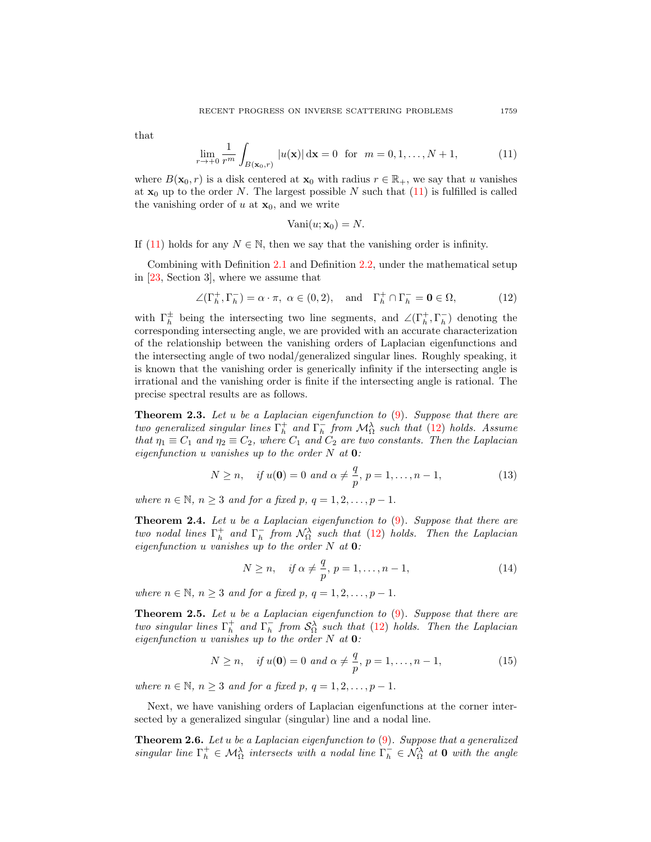that

<span id="page-6-0"></span>
$$
\lim_{r \to +0} \frac{1}{r^m} \int_{B(\mathbf{x}_0, r)} |u(\mathbf{x})| \, d\mathbf{x} = 0 \text{ for } m = 0, 1, \dots, N+1,
$$
 (11)

where  $B(\mathbf{x}_0, r)$  is a disk centered at  $\mathbf{x}_0$  with radius  $r \in \mathbb{R}_+$ , we say that u vanishes at  $x_0$  up to the order N. The largest possible N such that [\(11\)](#page-6-0) is fulfilled is called the vanishing order of  $u$  at  $x_0$ , and we write

<span id="page-6-1"></span>
$$
Vani(u; \mathbf{x}_0) = N.
$$

If [\(11\)](#page-6-0) holds for any  $N \in \mathbb{N}$ , then we say that the vanishing order is infinity.

Combining with Definition [2.1](#page-5-4) and Definition [2.2,](#page-5-5) under the mathematical setup in [\[23,](#page-27-4) Section 3], where we assume that

$$
\angle(\Gamma_h^+,\Gamma_h^-) = \alpha \cdot \pi, \ \alpha \in (0,2), \quad \text{and} \quad \Gamma_h^+ \cap \Gamma_h^- = \mathbf{0} \in \Omega,
$$
 (12)

with  $\Gamma_h^{\pm}$  being the intersecting two line segments, and  $\angle(\Gamma_h^+,\Gamma_h^-)$  denoting the corresponding intersecting angle, we are provided with an accurate characterization of the relationship between the vanishing orders of Laplacian eigenfunctions and the intersecting angle of two nodal/generalized singular lines. Roughly speaking, it is known that the vanishing order is generically infinity if the intersecting angle is irrational and the vanishing order is finite if the intersecting angle is rational. The precise spectral results are as follows.

<span id="page-6-2"></span>**Theorem 2.3.** Let u be a Laplacian eigenfunction to  $(9)$ . Suppose that there are two generalized singular lines  $\Gamma_h^+$  and  $\Gamma_h^-$  from  $\mathcal{M}_\Omega^{\lambda}$  such that [\(12\)](#page-6-1) holds. Assume that  $\eta_1 \equiv C_1$  and  $\eta_2 \equiv C_2$ , where  $C_1$  and  $C_2$  are two constants. Then the Laplacian eigenfunction u vanishes up to the order  $N$  at  $\mathbf{0}$ :

<span id="page-6-3"></span>
$$
N \ge n
$$
, if  $u(\mathbf{0}) = 0$  and  $\alpha \ne \frac{q}{p}$ ,  $p = 1, ..., n - 1$ , (13)

where  $n \in \mathbb{N}$ ,  $n \geq 3$  and for a fixed p,  $q = 1, 2, \ldots, p - 1$ .

**Theorem 2.4.** Let u be a Laplacian eigenfunction to  $(9)$ . Suppose that there are two nodal lines  $\Gamma_h^+$  and  $\Gamma_h^-$  from  $\mathcal{N}_\Omega^{\lambda}$  such that [\(12\)](#page-6-1) holds. Then the Laplacian eigenfunction u vanishes up to the order  $N$  at  $\mathbf{0}$ :

<span id="page-6-4"></span>
$$
N \ge n, \quad \text{if } \alpha \neq \frac{q}{p}, \ p = 1, \dots, n-1,
$$
\n
$$
(14)
$$

where  $n \in \mathbb{N}$ ,  $n \geq 3$  and for a fixed p,  $q = 1, 2, \ldots, p - 1$ .

**Theorem 2.5.** Let u be a Laplacian eigenfunction to  $(9)$ . Suppose that there are two singular lines  $\Gamma_h^+$  and  $\Gamma_h^-$  from  $\mathcal{S}_\Omega^{\lambda}$  such that [\(12\)](#page-6-1) holds. Then the Laplacian eigenfunction u vanishes up to the order  $N$  at  $\mathbf{0}$ :

<span id="page-6-5"></span>
$$
N \ge n
$$
, if  $u(\mathbf{0}) = 0$  and  $\alpha \ne \frac{q}{p}$ ,  $p = 1, ..., n - 1$ , (15)

where  $n \in \mathbb{N}$ ,  $n \geq 3$  and for a fixed p,  $q = 1, 2, \ldots, p - 1$ .

Next, we have vanishing orders of Laplacian eigenfunctions at the corner intersected by a generalized singular (singular) line and a nodal line.

**Theorem 2.6.** Let u be a Laplacian eigenfunction to  $(9)$ . Suppose that a generalized singular line  $\Gamma_h^+ \in \mathcal{M}_\Omega^{\lambda}$  intersects with a nodal line  $\Gamma_h^- \in \mathcal{N}_\Omega^{\lambda}$  at 0 with the angle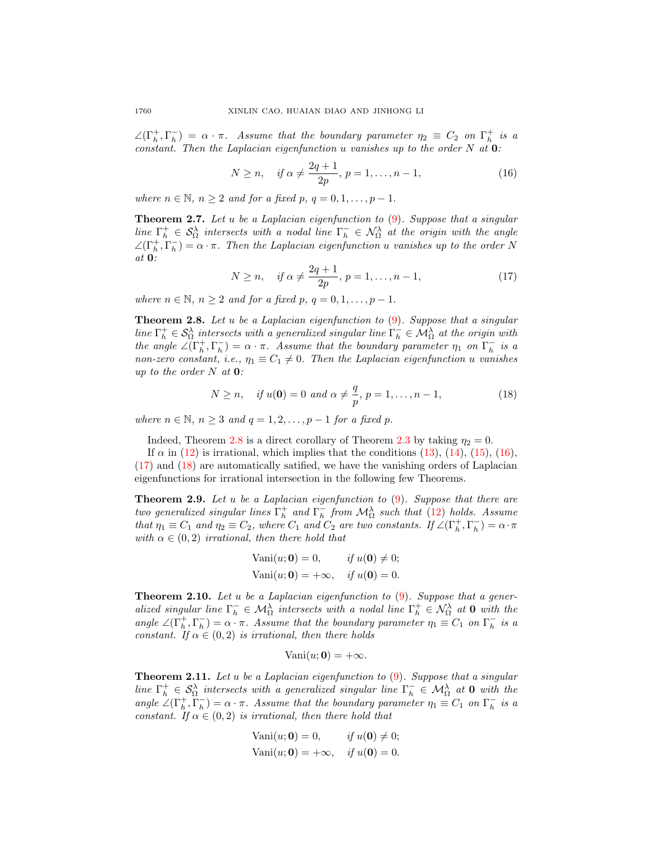$\angle(\Gamma_h^+, \Gamma_h^-) = \alpha \cdot \pi$ . Assume that the boundary parameter  $\eta_2 \equiv C_2$  on  $\Gamma_h^+$  is a constant. Then the Laplacian eigenfunction u vanishes up to the order  $N$  at  $\mathbf{0}$ :

<span id="page-7-1"></span>
$$
N \ge n, \quad \text{if } \alpha \ne \frac{2q+1}{2p}, \, p = 1, \dots, n-1,\tag{16}
$$

where  $n \in \mathbb{N}$ ,  $n \geq 2$  and for a fixed p,  $q = 0, 1, \ldots, p - 1$ .

**Theorem 2.7.** Let u be a Laplacian eigenfunction to  $(9)$ . Suppose that a singular line  $\Gamma_h^+ \in \mathcal{S}_\Omega^{\lambda}$  intersects with a nodal line  $\Gamma_h^- \in \mathcal{N}_\Omega^{\lambda}$  at the origin with the angle  $\angle(\Gamma_h^+, \Gamma_h^-) = \alpha \cdot \pi$ . Then the Laplacian eigenfunction u vanishes up to the order N at 0:

<span id="page-7-2"></span>
$$
N \ge n, \quad \text{if } \alpha \ne \frac{2q+1}{2p}, \ p = 1, \dots, n-1,\tag{17}
$$

where  $n \in \mathbb{N}$ ,  $n \geq 2$  and for a fixed p,  $q = 0, 1, \ldots, p - 1$ .

<span id="page-7-0"></span>**Theorem 2.8.** Let u be a Laplacian eigenfunction to  $(9)$ . Suppose that a singular line  $\Gamma_h^+ \in \mathcal{S}_\Omega^{\lambda}$  intersects with a generalized singular line  $\Gamma_h^- \in \mathcal{M}_\Omega^{\lambda}$  at the origin with the angle  $\angle(\Gamma_h^+, \Gamma_h^-) = \alpha \cdot \pi$ . Assume that the boundary parameter  $\eta_1$  on  $\Gamma_h^-$  is a non-zero constant, i.e.,  $\eta_1 \equiv C_1 \neq 0$ . Then the Laplacian eigenfunction u vanishes up to the order  $N$  at  $0$ :

<span id="page-7-3"></span>
$$
N \ge n
$$
, if  $u(\mathbf{0}) = 0$  and  $\alpha \ne \frac{q}{p}$ ,  $p = 1, ..., n - 1$ , (18)

where  $n \in \mathbb{N}$ ,  $n \geq 3$  and  $q = 1, 2, \ldots, p-1$  for a fixed p.

Indeed, Theorem [2.8](#page-7-0) is a direct corollary of Theorem [2.3](#page-6-2) by taking  $\eta_2 = 0$ .

If  $\alpha$  in [\(12\)](#page-6-1) is irrational, which implies that the conditions [\(13\)](#page-6-3), [\(14\)](#page-6-4), [\(15\)](#page-6-5), [\(16\)](#page-7-1), [\(17\)](#page-7-2) and [\(18\)](#page-7-3) are automatically satified, we have the vanishing orders of Laplacian eigenfunctions for irrational intersection in the following few Theorems.

**Theorem 2.9.** Let u be a Laplacian eigenfunction to  $(9)$ . Suppose that there are two generalized singular lines  $\Gamma_h^+$  and  $\Gamma_h^-$  from  $\mathcal{M}_\Omega^{\lambda}$  such that [\(12\)](#page-6-1) holds. Assume that  $\eta_1 \equiv C_1$  and  $\eta_2 \equiv C_2$ , where  $C_1$  and  $C_2$  are two constants. If  $\angle(\Gamma_h^+, \Gamma_h^-) = \alpha \cdot \pi$ with  $\alpha \in (0, 2)$  irrational, then there hold that

$$
Vani(u; \mathbf{0}) = 0, \t\t if u(\mathbf{0}) \neq 0;
$$
  

$$
Vani(u; \mathbf{0}) = +\infty, \t\t if u(\mathbf{0}) = 0.
$$

**Theorem 2.10.** Let u be a Laplacian eigenfunction to  $(9)$ . Suppose that a generalized singular line  $\Gamma_h^- \in \mathcal{M}_\Omega^{\lambda}$  intersects with a nodal line  $\Gamma_h^+ \in \mathcal{N}_\Omega^{\lambda}$  at 0 with the angle  $\angle(\Gamma_h^+,\Gamma_h^-) = \alpha \cdot \pi$ . Assume that the boundary parameter  $\eta_1 \equiv C_1$  on  $\Gamma_h^-$  is a constant. If  $\alpha \in (0, 2)$  is irrational, then there holds

$$
Vani(u; 0) = +\infty.
$$

**Theorem 2.11.** Let u be a Laplacian eigenfunction to  $(9)$ . Suppose that a singular line  $\Gamma_h^+ \in \mathcal{S}_\Omega^{\lambda}$  intersects with a generalized singular line  $\Gamma_h^- \in \mathcal{M}_\Omega^{\lambda}$  at 0 with the angle  $\angle(\Gamma_h^+, \Gamma_h^-) = \alpha \cdot \pi$ . Assume that the boundary parameter  $\eta_1 \equiv C_1$  on  $\Gamma_h^-$  is a constant. If  $\alpha \in (0, 2)$  is irrational, then there hold that

$$
Vani(u; \mathbf{0}) = 0, \t\t if u(\mathbf{0}) \neq 0;
$$
  

$$
Vani(u; \mathbf{0}) = +\infty, \t\t if u(\mathbf{0}) = 0.
$$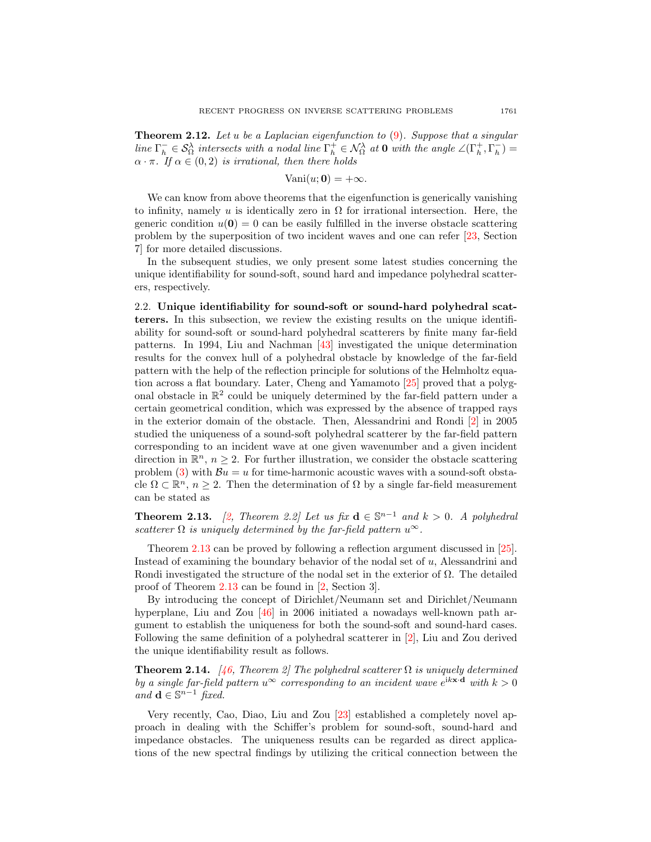<span id="page-8-2"></span>**Theorem 2.12.** Let u be a Laplacian eigenfunction to  $(9)$ . Suppose that a singular line  $\Gamma_h^- \in \mathcal{S}_{\Omega}^{\lambda}$  intersects with a nodal line  $\Gamma_h^+ \in \mathcal{N}_{\Omega}^{\lambda}$  at 0 with the angle  $\angle(\Gamma_h^+,\Gamma_h^-)$  $\alpha \cdot \pi$ . If  $\alpha \in (0, 2)$  is irrational, then there holds

$$
Vani(u; 0) = +\infty.
$$

We can know from above theorems that the eigenfunction is generically vanishing to infinity, namely u is identically zero in  $\Omega$  for irrational intersection. Here, the generic condition  $u(\mathbf{0}) = 0$  can be easily fulfilled in the inverse obstacle scattering problem by the superposition of two incident waves and one can refer [\[23,](#page-27-4) Section 7] for more detailed discussions.

In the subsequent studies, we only present some latest studies concerning the unique identifiability for sound-soft, sound hard and impedance polyhedral scatterers, respectively.

<span id="page-8-0"></span>2.2. Unique identifiability for sound-soft or sound-hard polyhedral scatterers. In this subsection, we review the existing results on the unique identifiability for sound-soft or sound-hard polyhedral scatterers by finite many far-field patterns. In 1994, Liu and Nachman [\[43\]](#page-28-17) investigated the unique determination results for the convex hull of a polyhedral obstacle by knowledge of the far-field pattern with the help of the reflection principle for solutions of the Helmholtz equation across a flat boundary. Later, Cheng and Yamamoto [\[25\]](#page-27-2) proved that a polygonal obstacle in  $\mathbb{R}^2$  could be uniquely determined by the far-field pattern under a certain geometrical condition, which was expressed by the absence of trapped rays in the exterior domain of the obstacle. Then, Alessandrini and Rondi [\[2\]](#page-27-0) in 2005 studied the uniqueness of a sound-soft polyhedral scatterer by the far-field pattern corresponding to an incident wave at one given wavenumber and a given incident direction in  $\mathbb{R}^n$ ,  $n \geq 2$ . For further illustration, we consider the obstacle scattering problem [\(3\)](#page-1-1) with  $\mathcal{B}u = u$  for time-harmonic acoustic waves with a sound-soft obstacle  $\Omega \subset \mathbb{R}^n$ ,  $n \geq 2$ . Then the determination of  $\Omega$  by a single far-field measurement can be stated as

<span id="page-8-1"></span>**Theorem 2.13.** [\[2,](#page-27-0) Theorem 2.2] Let us fix  $d \in \mathbb{S}^{n-1}$  and  $k > 0$ . A polyhedral scatterer  $\Omega$  is uniquely determined by the far-field pattern  $u^{\infty}$ .

Theorem [2.13](#page-8-1) can be proved by following a reflection argument discussed in [\[25\]](#page-27-2). Instead of examining the boundary behavior of the nodal set of u, Alessandrini and Rondi investigated the structure of the nodal set in the exterior of  $\Omega$ . The detailed proof of Theorem [2.13](#page-8-1) can be found in [\[2,](#page-27-0) Section 3].

By introducing the concept of Dirichlet/Neumann set and Dirichlet/Neumann hyperplane, Liu and Zou [\[46\]](#page-28-6) in 2006 initiated a nowadays well-known path argument to establish the uniqueness for both the sound-soft and sound-hard cases. Following the same definition of a polyhedral scatterer in [\[2\]](#page-27-0), Liu and Zou derived the unique identifiability result as follows.

**Theorem 2.14.** [\[46,](#page-28-6) Theorem 2] The polyhedral scatterer  $\Omega$  is uniquely determined by a single far-field pattern  $u^{\infty}$  corresponding to an incident wave  $e^{i k \mathbf{x} \cdot \mathbf{d}}$  with  $k > 0$ *and* **d** ∈  $\mathbb{S}^{n-1}$  *fixed.* 

Very recently, Cao, Diao, Liu and Zou [\[23\]](#page-27-4) established a completely novel approach in dealing with the Schiffer's problem for sound-soft, sound-hard and impedance obstacles. The uniqueness results can be regarded as direct applications of the new spectral findings by utilizing the critical connection between the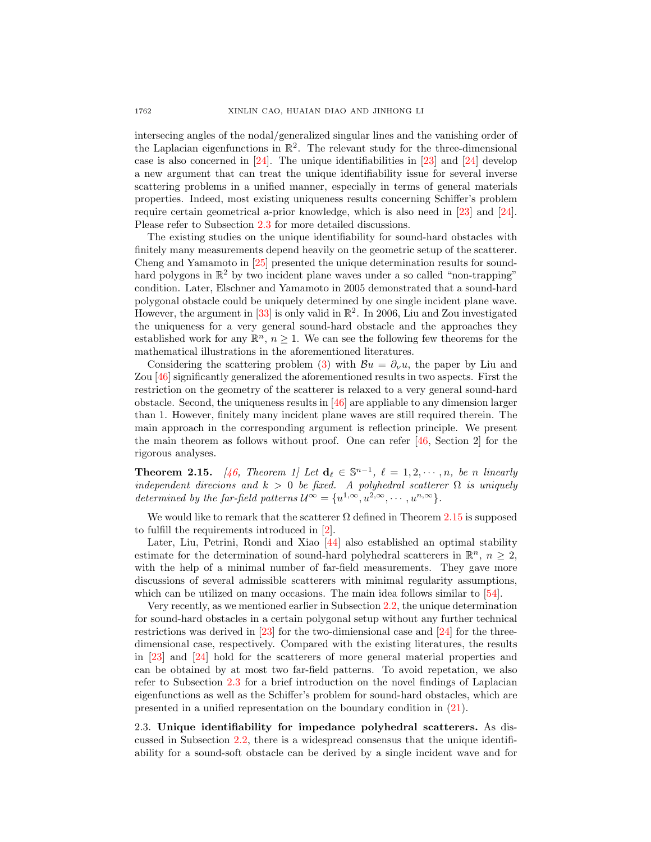intersecing angles of the nodal/generalized singular lines and the vanishing order of the Laplacian eigenfunctions in  $\mathbb{R}^2$ . The relevant study for the three-dimensional case is also concerned in  $[24]$ . The unique identifiabilities in  $[23]$  and  $[24]$  develop a new argument that can treat the unique identifiability issue for several inverse scattering problems in a unified manner, especially in terms of general materials properties. Indeed, most existing uniqueness results concerning Schiffer's problem require certain geometrical a-prior knowledge, which is also need in [\[23\]](#page-27-4) and [\[24\]](#page-27-5). Please refer to Subsection [2.3](#page-9-0) for more detailed discussions.

The existing studies on the unique identifiability for sound-hard obstacles with finitely many measurements depend heavily on the geometric setup of the scatterer. Cheng and Yamamoto in [\[25\]](#page-27-2) presented the unique determination results for soundhard polygons in  $\mathbb{R}^2$  by two incident plane waves under a so called "non-trapping" condition. Later, Elschner and Yamamoto in 2005 demonstrated that a sound-hard polygonal obstacle could be uniquely determined by one single incident plane wave. However, the argument in [\[33\]](#page-28-18) is only valid in  $\mathbb{R}^2$ . In 2006, Liu and Zou investigated the uniqueness for a very general sound-hard obstacle and the approaches they established work for any  $\mathbb{R}^n$ ,  $n \geq 1$ . We can see the following few theorems for the mathematical illustrations in the aforementioned literatures.

Considering the scattering problem [\(3\)](#page-1-1) with  $\mathcal{B}u = \partial_{\nu}u$ , the paper by Liu and Zou [\[46\]](#page-28-6) significantly generalized the aforementioned results in two aspects. First the restriction on the geometry of the scatterer is relaxed to a very general sound-hard obstacle. Second, the uniqueness results in [\[46\]](#page-28-6) are appliable to any dimension larger than 1. However, finitely many incident plane waves are still required therein. The main approach in the corresponding argument is reflection principle. We present the main theorem as follows without proof. One can refer [\[46,](#page-28-6) Section 2] for the rigorous analyses.

<span id="page-9-1"></span>**Theorem 2.15.** [\[46,](#page-28-6) Theorem 1] Let  $\mathbf{d}_{\ell} \in \mathbb{S}^{n-1}$ ,  $\ell = 1, 2, \cdots, n$ , be n linearly independent direcions and  $k > 0$  be fixed. A polyhedral scatterer  $\Omega$  is uniquely determined by the far-field patterns  $\mathcal{U}^{\infty} = \{u^{1,\infty}, u^{2,\infty}, \cdots, u^{n,\infty}\}.$ 

We would like to remark that the scatterer  $\Omega$  defined in Theorem [2.15](#page-9-1) is supposed to fulfill the requirements introduced in [\[2\]](#page-27-0).

Later, Liu, Petrini, Rondi and Xiao [\[44\]](#page-28-14) also established an optimal stability estimate for the determination of sound-hard polyhedral scatterers in  $\mathbb{R}^n$ ,  $n \geq 2$ , with the help of a minimal number of far-field measurements. They gave more discussions of several admissible scatterers with minimal regularity assumptions, which can be utilized on many occasions. The main idea follows similar to [\[54\]](#page-29-0).

Very recently, as we mentioned earlier in Subsection [2.2,](#page-8-0) the unique determination for sound-hard obstacles in a certain polygonal setup without any further technical restrictions was derived in [\[23\]](#page-27-4) for the two-dimiensional case and [\[24\]](#page-27-5) for the threedimensional case, respectively. Compared with the existing literatures, the results in [\[23\]](#page-27-4) and [\[24\]](#page-27-5) hold for the scatterers of more general material properties and can be obtained by at most two far-field patterns. To avoid repetation, we also refer to Subsection [2.3](#page-9-0) for a brief introduction on the novel findings of Laplacian eigenfunctions as well as the Schiffer's problem for sound-hard obstacles, which are presented in a unified representation on the boundary condition in [\(21\)](#page-11-0).

<span id="page-9-0"></span>2.3. Unique identifiability for impedance polyhedral scatterers. As discussed in Subsection [2.2,](#page-8-0) there is a widespread consensus that the unique identifiability for a sound-soft obstacle can be derived by a single incident wave and for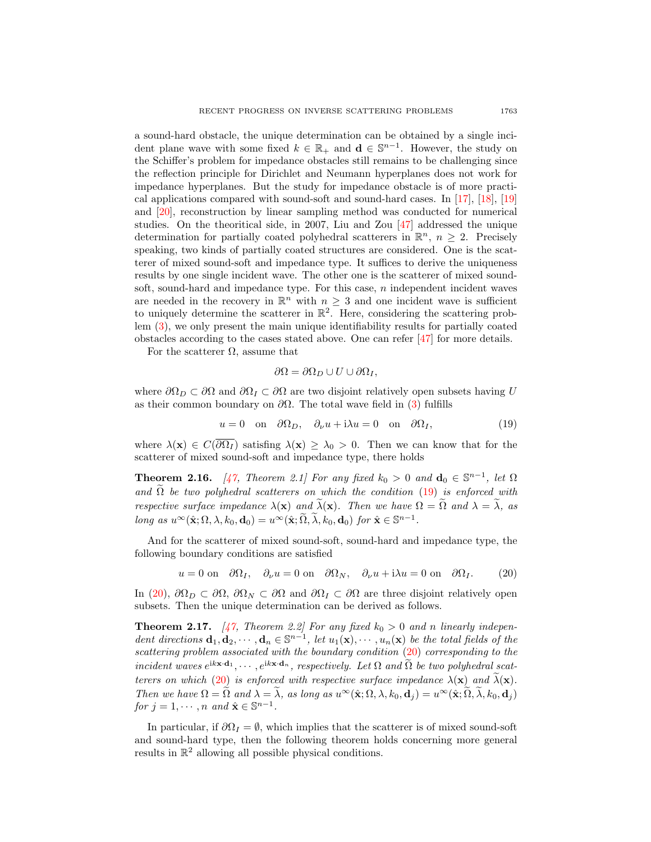a sound-hard obstacle, the unique determination can be obtained by a single incident plane wave with some fixed  $k \in \mathbb{R}_+$  and  $\mathbf{d} \in \mathbb{S}^{n-1}$ . However, the study on the Schiffer's problem for impedance obstacles still remains to be challenging since the reflection principle for Dirichlet and Neumann hyperplanes does not work for impedance hyperplanes. But the study for impedance obstacle is of more practical applications compared with sound-soft and sound-hard cases. In [\[17\]](#page-27-13), [\[18\]](#page-27-14), [\[19\]](#page-27-15) and [\[20\]](#page-27-16), reconstruction by linear sampling method was conducted for numerical studies. On the theoritical side, in 2007, Liu and Zou [\[47\]](#page-28-16) addressed the unique determination for partially coated polyhedral scatterers in  $\mathbb{R}^n$ ,  $n \geq 2$ . Precisely speaking, two kinds of partially coated structures are considered. One is the scatterer of mixed sound-soft and impedance type. It suffices to derive the uniqueness results by one single incident wave. The other one is the scatterer of mixed soundsoft, sound-hard and impedance type. For this case,  $n$  independent incident waves are needed in the recovery in  $\mathbb{R}^n$  with  $n \geq 3$  and one incident wave is sufficient to uniquely determine the scatterer in  $\mathbb{R}^2$ . Here, considering the scattering problem [\(3\)](#page-1-1), we only present the main unique identifiability results for partially coated obstacles according to the cases stated above. One can refer [\[47\]](#page-28-16) for more details.

For the scatterer  $\Omega$ , assume that

<span id="page-10-0"></span>
$$
\partial\Omega = \partial\Omega_D \cup U \cup \partial\Omega_I,
$$

where  $\partial\Omega_D \subset \partial\Omega$  and  $\partial\Omega_I \subset \partial\Omega$  are two disjoint relatively open subsets having U as their common boundary on  $\partial\Omega$ . The total wave field in [\(3\)](#page-1-1) fulfills

$$
u = 0 \quad \text{on} \quad \partial \Omega_D, \quad \partial_\nu u + i\lambda u = 0 \quad \text{on} \quad \partial \Omega_I,\tag{19}
$$

where  $\lambda(\mathbf{x}) \in C(\overline{\partial \Omega_I})$  satisfing  $\lambda(\mathbf{x}) \geq \lambda_0 > 0$ . Then we can know that for the scatterer of mixed sound-soft and impedance type, there holds

**Theorem 2.16.** [\[47,](#page-28-16) Theorem 2.1] For any fixed  $k_0 > 0$  and  $\mathbf{d}_0 \in \mathbb{S}^{n-1}$ , let  $\Omega$ and  $\widetilde{\Omega}$  be two polyhedral scatterers on which the condition [\(19\)](#page-10-0) is enforced with respective surface impedance  $\lambda(\mathbf{x})$  and  $\tilde{\lambda}(\mathbf{x})$ . Then we have  $\Omega = \tilde{\Omega}$  and  $\lambda = \tilde{\lambda}$ , as long as  $u^{\infty}(\hat{\mathbf{x}}; \Omega, \lambda, k_0, \mathbf{d}_0) = u^{\infty}(\hat{\mathbf{x}}; \widetilde{\Omega}, \widetilde{\lambda}, k_0, \mathbf{d}_0)$  for  $\hat{\mathbf{x}} \in \mathbb{S}^{n-1}$ .

And for the scatterer of mixed sound-soft, sound-hard and impedance type, the following boundary conditions are satisfied

<span id="page-10-1"></span>
$$
u = 0
$$
 on  $\partial \Omega_I$ ,  $\partial_\nu u = 0$  on  $\partial \Omega_N$ ,  $\partial_\nu u + i\lambda u = 0$  on  $\partial \Omega_I$ . (20)

In [\(20\)](#page-10-1),  $\partial\Omega_D \subset \partial\Omega$ ,  $\partial\Omega_N \subset \partial\Omega$  and  $\partial\Omega_I \subset \partial\Omega$  are three disjoint relatively open subsets. Then the unique determination can be derived as follows.

**Theorem 2.17.** [\[47,](#page-28-16) Theorem 2.2] For any fixed  $k_0 > 0$  and n linearly independent directions  $\mathbf{d}_1, \mathbf{d}_2, \cdots, \mathbf{d}_n \in \mathbb{S}^{n-1}$ , let  $u_1(\mathbf{x}), \cdots, u_n(\mathbf{x})$  be the total fields of the scattering problem associated with the boundary condition  $(20)$  corresponding to the incident waves  $e^{i\mathbf{k}\mathbf{x}\cdot\mathbf{d}_1}, \dots, e^{i\mathbf{k}\mathbf{x}\cdot\mathbf{d}_n}$ , respectively. Let  $\Omega$  and  $\tilde{\Omega}$  be two polyhedral scat-terers on which [\(20\)](#page-10-1) is enforced with respective surface impedance  $\lambda(\mathbf{x})$  and  $\lambda(\mathbf{x})$ . Then we have  $\Omega = \tilde{\Omega}$  and  $\lambda = \tilde{\lambda}$ , as long as  $u^{\infty}(\hat{\mathbf{x}};\Omega,\lambda,k_0,\mathbf{d}_i) = u^{\infty}(\hat{\mathbf{x}};\tilde{\Omega},\tilde{\lambda},k_0,\mathbf{d}_i)$ for  $j = 1, \dots, n$  and  $\hat{\mathbf{x}} \in \mathbb{S}^{n-1}$ .

In particular, if  $\partial\Omega_I = \emptyset$ , which implies that the scatterer is of mixed sound-soft and sound-hard type, then the following theorem holds concerning more general results in  $\mathbb{R}^2$  allowing all possible physical conditions.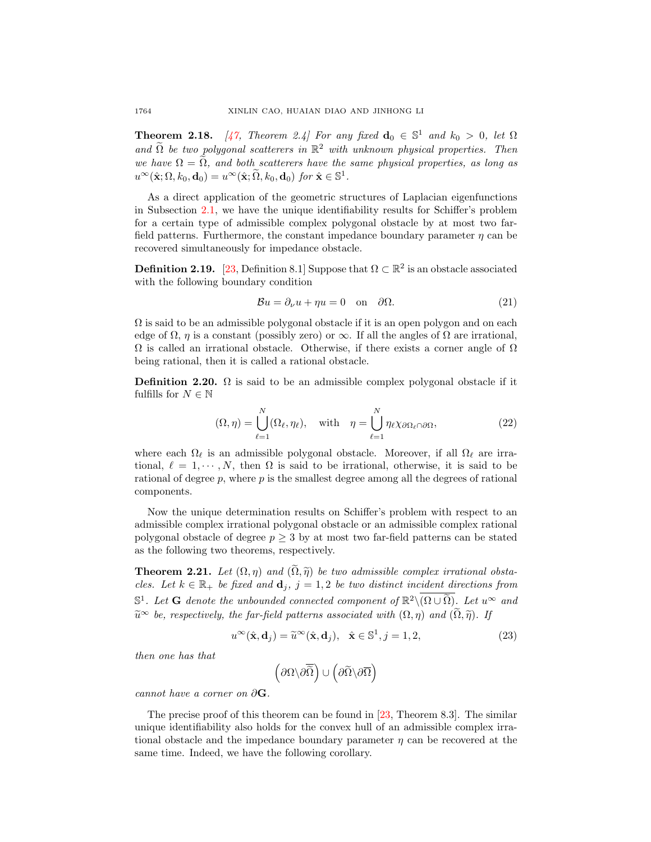**Theorem 2.18.** [\[47,](#page-28-16) Theorem 2.4] For any fixed  $\mathbf{d}_0 \in \mathbb{S}^1$  and  $k_0 > 0$ , let  $\Omega$ and  $\widetilde{\Omega}$  be two polygonal scatterers in  $\mathbb{R}^2$  with unknown physical properties. Then we have  $\Omega = \Omega$ , and both scatterers have the same physical properties, as long as  $u^{\infty}(\hat{\mathbf{x}};\Omega,k_0,\mathbf{d}_0) = u^{\infty}(\hat{\mathbf{x}};\widetilde{\Omega},k_0,\mathbf{d}_0)$  for  $\hat{\mathbf{x}} \in \mathbb{S}^1$ .

As a direct application of the geometric structures of Laplacian eigenfunctions in Subsection [2.1,](#page-5-1) we have the unique identifiability results for Schiffer's problem for a certain type of admissible complex polygonal obstacle by at most two farfield patterns. Furthermore, the constant impedance boundary parameter  $\eta$  can be recovered simultaneously for impedance obstacle.

<span id="page-11-2"></span>**Definition 2.19.** [\[23,](#page-27-4) Definition 8.1] Suppose that  $\Omega \subset \mathbb{R}^2$  is an obstacle associated with the following boundary condition

<span id="page-11-0"></span>
$$
\mathcal{B}u = \partial_{\nu}u + \eta u = 0 \quad \text{on} \quad \partial\Omega. \tag{21}
$$

 $\Omega$  is said to be an admissible polygonal obstacle if it is an open polygon and on each edge of  $\Omega$ ,  $\eta$  is a constant (possibly zero) or  $\infty$ . If all the angles of  $\Omega$  are irrational,  $\Omega$  is called an irrational obstacle. Otherwise, if there exists a corner angle of  $\Omega$ being rational, then it is called a rational obstacle.

**Definition 2.20.**  $\Omega$  is said to be an admissible complex polygonal obstacle if it fulfills for  $N \in \mathbb{N}$ 

$$
(\Omega, \eta) = \bigcup_{\ell=1}^{N} (\Omega_{\ell}, \eta_{\ell}), \quad \text{with} \quad \eta = \bigcup_{\ell=1}^{N} \eta_{\ell} \chi_{\partial \Omega_{\ell} \cap \partial \Omega}, \tag{22}
$$

where each  $\Omega_\ell$  is an admissible polygonal obstacle. Moreover, if all  $\Omega_\ell$  are irrational,  $\ell = 1, \dots, N$ , then  $\Omega$  is said to be irrational, otherwise, it is said to be rational of degree  $p$ , where  $p$  is the smallest degree among all the degrees of rational components.

Now the unique determination results on Schiffer's problem with respect to an admissible complex irrational polygonal obstacle or an admissible complex rational polygonal obstacle of degree  $p \geq 3$  by at most two far-field patterns can be stated as the following two theorems, respectively.

<span id="page-11-1"></span>**Theorem 2.21.** Let  $(\Omega, \eta)$  and  $(\widetilde{\Omega}, \widetilde{\eta})$  be two admissible complex irrational obstacles. Let  $k \in \mathbb{R}_+$  be fixed and  $\mathbf{d}_i$ ,  $j = 1, 2$  be two distinct incident directions from  $\mathbb{S}^1$ . Let **G** denote the unbounded connected component of  $\mathbb{R}^2 \setminus (\Omega \cup \widetilde{\Omega})$ . Let  $u^{\infty}$  and  $\widetilde{u}^{\infty}$  be, respectively, the far-field patterns associated with  $(\Omega, \eta)$  and  $(\widetilde{\Omega}, \widetilde{\eta})$ . If

$$
u^{\infty}(\hat{\mathbf{x}}, \mathbf{d}_j) = \tilde{u}^{\infty}(\hat{\mathbf{x}}, \mathbf{d}_j), \quad \hat{\mathbf{x}} \in \mathbb{S}^1, j = 1, 2,
$$
\n(23)

then one has that

$$
\left(\partial\Omega\backslash\partial\overline{\hat\Omega}\right)\cup\left(\partial\widetilde\Omega\backslash\partial\overline{\Omega}\right)
$$

cannot have a corner on  $\partial G$ .

The precise proof of this theorem can be found in [\[23,](#page-27-4) Theorem 8.3]. The similar unique identifiability also holds for the convex hull of an admissible complex irrational obstacle and the impedance boundary parameter  $\eta$  can be recovered at the same time. Indeed, we have the following corollary.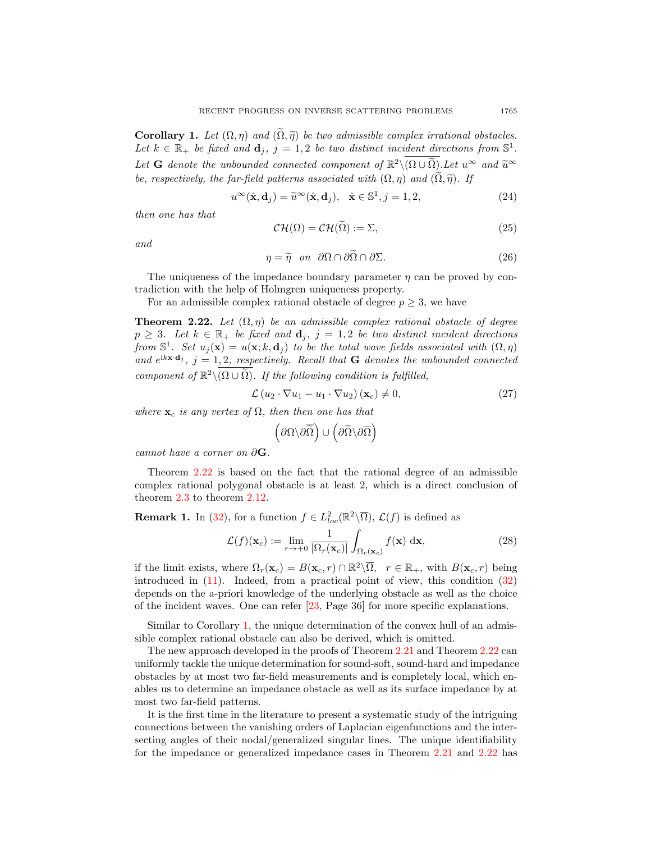<span id="page-12-1"></span>**Corollary 1.** Let  $(\Omega, \eta)$  and  $(\tilde{\Omega}, \tilde{\eta})$  be two admissible complex irrational obstacles. Let  $k \in \mathbb{R}_+$  be fixed and  $\mathbf{d}_j$ ,  $j = 1, 2$  be two distinct incident directions from  $\mathbb{S}^1$ . Let **G** denote the unbounded connected component of  $\mathbb{R}^2 \setminus (\Omega \cup \tilde{\Omega})$ . Let  $u^{\infty}$  and  $\tilde{u}^{\infty}$ be, respectively, the far-field patterns associated with  $(\Omega, \eta)$  and  $(\widetilde{\Omega}, \widetilde{\eta})$ . If

$$
u^{\infty}(\hat{\mathbf{x}}, \mathbf{d}_j) = \tilde{u}^{\infty}(\hat{\mathbf{x}}, \mathbf{d}_j), \quad \hat{\mathbf{x}} \in \mathbb{S}^1, j = 1, 2,
$$
\n(24)

then one has that

$$
\mathcal{CH}(\Omega) = \mathcal{CH}(\Omega) := \Sigma,\tag{25}
$$

and

$$
\eta = \widetilde{\eta} \quad on \quad \partial\Omega \cap \partial\widetilde{\Omega} \cap \partial\Sigma. \tag{26}
$$

The uniqueness of the impedance boundary parameter  $\eta$  can be proved by contradiction with the help of Holmgren uniqueness property.

For an admissible complex rational obstacle of degree  $p \geq 3$ , we have

<span id="page-12-0"></span>**Theorem 2.22.** Let  $(\Omega, \eta)$  be an admissible complex rational obstacle of degree  $p \geq 3$ . Let  $k \in \mathbb{R}_+$  be fixed and  $\mathbf{d}_j$ ,  $j = 1, 2$  be two distinct incident directions from  $\mathbb{S}^1$ . Set  $u_j(\mathbf{x}) = u(\mathbf{x}; k, \mathbf{d}_j)$  to be the total wave fields associated with  $(\Omega, \eta)$ and  $e^{ikx \cdot d_j}$ ,  $j = 1, 2$ , respectively. Recall that **G** denotes the unbounded connected component of  $\mathbb{R}^2 \setminus (\Omega \cup \widetilde{\Omega})$ . If the following condition is fulfilled,

$$
\mathcal{L}(u_2 \cdot \nabla u_1 - u_1 \cdot \nabla u_2) (\mathbf{x}_c) \neq 0, \tag{27}
$$

where  $\mathbf{x}_c$  is any vertex of  $\Omega$ , then then one has that

$$
\left(\partial\Omega\backslash\partial\overline{\hat\Omega}\right)\cup\left(\partial\widetilde\Omega\backslash\partial\overline{\Omega}\right)
$$

cannot have a corner on  $\partial G$ .

Theorem [2.22](#page-12-0) is based on the fact that the rational degree of an admissible complex rational polygonal obstacle is at least 2, which is a direct conclusion of theorem [2.3](#page-6-2) to theorem [2.12.](#page-8-2)

**Remark 1.** In [\(32\)](#page-13-0), for a function  $f \in L^2_{loc}(\mathbb{R}^2 \setminus \overline{\Omega})$ ,  $\mathcal{L}(f)$  is defined as

<span id="page-12-2"></span>
$$
\mathcal{L}(f)(\mathbf{x}_c) := \lim_{r \to +0} \frac{1}{|\Omega_r(\mathbf{x}_c)|} \int_{\Omega_r(\mathbf{x}_c)} f(\mathbf{x}) \, \mathrm{d}\mathbf{x},\tag{28}
$$

if the limit exists, where  $\Omega_r(\mathbf{x}_c) = B(\mathbf{x}_c, r) \cap \mathbb{R}^2 \setminus \overline{\Omega}$ ,  $r \in \mathbb{R}_+$ , with  $B(\mathbf{x}_c, r)$  being introduced in [\(11\)](#page-6-0). Indeed, from a practical point of view, this condition [\(32\)](#page-13-0) depends on the a-priori knowledge of the underlying obstacle as well as the choice of the incident waves. One can refer [\[23,](#page-27-4) Page 36] for more specific explanations.

Similar to Corollary [1,](#page-12-1) the unique determination of the convex hull of an admissible complex rational obstacle can also be derived, which is omitted.

The new approach developed in the proofs of Theorem [2.21](#page-11-1) and Theorem [2.22](#page-12-0) can uniformly tackle the unique determination for sound-soft, sound-hard and impedance obstacles by at most two far-field measurements and is completely local, which enables us to determine an impedance obstacle as well as its surface impedance by at most two far-field patterns.

It is the first time in the literature to present a systematic study of the intriguing connections between the vanishing orders of Laplacian eigenfunctions and the intersecting angles of their nodal/generalized singular lines. The unique identifiability for the impedance or generalized impedance cases in Theorem [2.21](#page-11-1) and [2.22](#page-12-0) has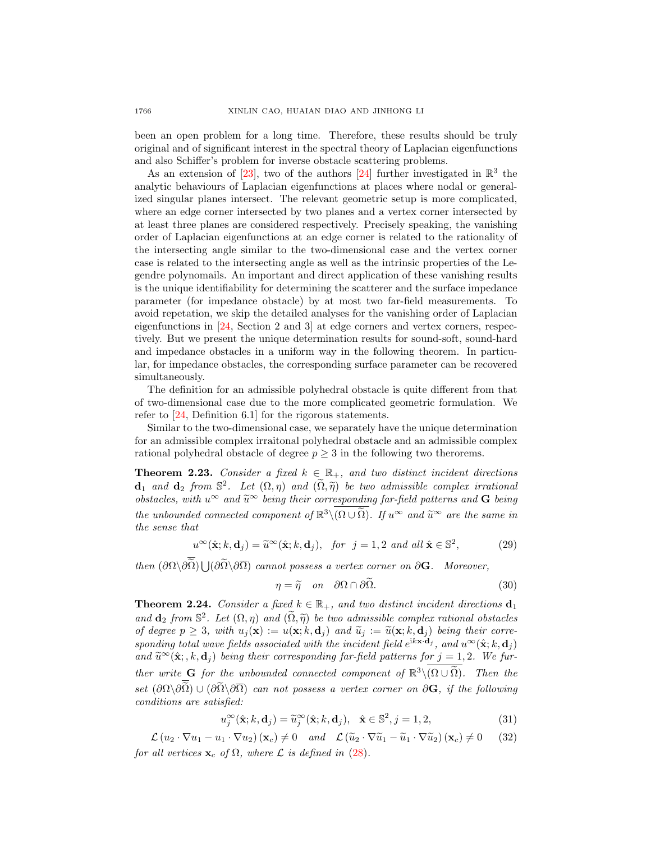been an open problem for a long time. Therefore, these results should be truly original and of significant interest in the spectral theory of Laplacian eigenfunctions and also Schiffer's problem for inverse obstacle scattering problems.

As an extension of [\[23\]](#page-27-4), two of the authors [\[24\]](#page-27-5) further investigated in  $\mathbb{R}^3$  the analytic behaviours of Laplacian eigenfunctions at places where nodal or generalized singular planes intersect. The relevant geometric setup is more complicated, where an edge corner intersected by two planes and a vertex corner intersected by at least three planes are considered respectively. Precisely speaking, the vanishing order of Laplacian eigenfunctions at an edge corner is related to the rationality of the intersecting angle similar to the two-dimensional case and the vertex corner case is related to the intersecting angle as well as the intrinsic properties of the Legendre polynomails. An important and direct application of these vanishing results is the unique identifiability for determining the scatterer and the surface impedance parameter (for impedance obstacle) by at most two far-field measurements. To avoid repetation, we skip the detailed analyses for the vanishing order of Laplacian eigenfunctions in [\[24,](#page-27-5) Section 2 and 3] at edge corners and vertex corners, respectively. But we present the unique determination results for sound-soft, sound-hard and impedance obstacles in a uniform way in the following theorem. In particular, for impedance obstacles, the corresponding surface parameter can be recovered simultaneously.

The definition for an admissible polyhedral obstacle is quite different from that of two-dimensional case due to the more complicated geometric formulation. We refer to [\[24,](#page-27-5) Definition 6.1] for the rigorous statements.

Similar to the two-dimensional case, we separately have the unique determination for an admissible complex irraitonal polyhedral obstacle and an admissible complex rational polyhedral obstacle of degree  $p \geq 3$  in the following two therorems.

<span id="page-13-1"></span>**Theorem 2.23.** Consider a fixed  $k \in \mathbb{R}_+$ , and two distinct incident directions  $\mathbf{d}_1$  and  $\mathbf{d}_2$  from  $\mathbb{S}^2$ . Let  $(\Omega, \eta)$  and  $(\widetilde{\Omega}, \widetilde{\eta})$  be two admissible complex irrational<br>obstacles with  $\mathbb{R}^{\infty}$  and  $\widetilde{\mathbb{R}}^{\infty}$  being their corresponding for field patterns and  $\mathbf{C}$  obstacles, with  $u^{\infty}$  and  $\widetilde{u}^{\infty}$  being their corresponding far-field patterns and **G** being the unbounded connected component of  $\mathbb{R}^3 \setminus (\Omega \cup \tilde{\Omega})$ . If  $u^{\infty}$  and  $\tilde{u}^{\infty}$  are the same in the same that the sense that

$$
u^{\infty}(\hat{\mathbf{x}}; k, \mathbf{d}_j) = \widetilde{u}^{\infty}(\hat{\mathbf{x}}; k, \mathbf{d}_j), \text{ for } j = 1, 2 \text{ and all } \hat{\mathbf{x}} \in \mathbb{S}^2,
$$
 (29)

then  $(\partial \Omega \backslash \partial \Omega) \bigcup (\partial \Omega \backslash \partial \overline{\Omega})$  cannot possess a vertex corner on  $\partial G$ . Moreover,

$$
\eta = \widetilde{\eta} \quad on \quad \partial\Omega \cap \partial\Omega. \tag{30}
$$

<span id="page-13-2"></span>**Theorem 2.24.** Consider a fixed  $k \in \mathbb{R}_+$ , and two distinct incident directions  $\mathbf{d}_1$ and  $\mathbf{d}_2$  from  $\mathbb{S}^2$ . Let  $(\Omega, \eta)$  and  $(\widetilde{\Omega}, \widetilde{\eta})$  be two admissible complex rational obstacles of degree  $p \geq 3$ , with  $u_i(\mathbf{x}) := u(\mathbf{x}; k, \mathbf{d}_i)$  and  $\tilde{u}_i := \tilde{u}(\mathbf{x}; k, \mathbf{d}_i)$  being their corresponding total wave fields associated with the incident field  $e^{i k \mathbf{x} \cdot \mathbf{d}_j}$ , and  $u^{\infty}(\hat{\mathbf{x}}; k, \mathbf{d}_j)$ and  $\widetilde{u}^{\infty}(\hat{\mathbf{x}}; k, \mathbf{d}_j)$  being their corresponding far-field patterns for  $j = 1, 2$ . We further write G for the unbounded connected component of  $\mathbb{R}^3 \setminus (\Omega \cup \widetilde{\Omega})$ . Then the set  $(\partial\Omega\setminus\partial\widetilde{\Omega})\cup(\partial\widetilde{\Omega}\setminus\partial\overline{\Omega})$  can not possess a vertex corner on  $\partial\mathbf{G}$ , if the following conditions are satisfied:

$$
u_j^{\infty}(\hat{\mathbf{x}}; k, \mathbf{d}_j) = \widetilde{u}_j^{\infty}(\hat{\mathbf{x}}; k, \mathbf{d}_j), \quad \hat{\mathbf{x}} \in \mathbb{S}^2, j = 1, 2,
$$
\n(31)

<span id="page-13-0"></span> $\mathcal{L}(u_2 \cdot \nabla u_1 - u_1 \cdot \nabla u_2)(\mathbf{x}_c) \neq 0$  and  $\mathcal{L}(\widetilde{u}_2 \cdot \nabla \widetilde{u}_1 - \widetilde{u}_1 \cdot \nabla \widetilde{u}_2)(\mathbf{x}_c) \neq 0$  (32) for all vertices  $\mathbf{x}_c$  of  $\Omega$ , where  $\mathcal L$  is defined in [\(28\)](#page-12-2).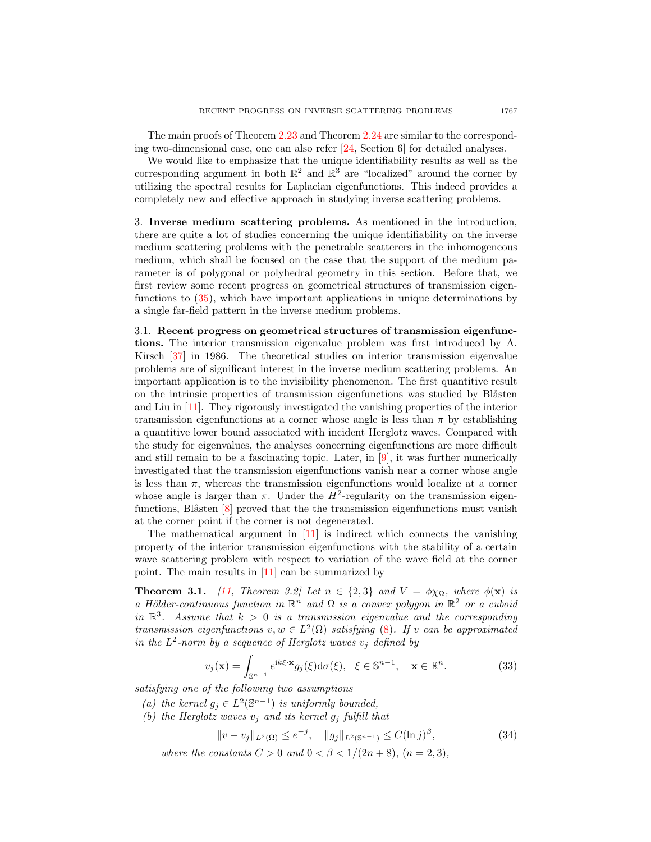The main proofs of Theorem [2.23](#page-13-1) and Theorem [2.24](#page-13-2) are similar to the corresponding two-dimensional case, one can also refer [\[24,](#page-27-5) Section 6] for detailed analyses.

We would like to emphasize that the unique identifiability results as well as the corresponding argument in both  $\mathbb{R}^2$  and  $\mathbb{R}^3$  are "localized" around the corner by utilizing the spectral results for Laplacian eigenfunctions. This indeed provides a completely new and effective approach in studying inverse scattering problems.

<span id="page-14-0"></span>3. Inverse medium scattering problems. As mentioned in the introduction, there are quite a lot of studies concerning the unique identifiability on the inverse medium scattering problems with the penetrable scatterers in the inhomogeneous medium, which shall be focused on the case that the support of the medium parameter is of polygonal or polyhedral geometry in this section. Before that, we first review some recent progress on geometrical structures of transmission eigenfunctions to [\(35\)](#page-15-0), which have important applications in unique determinations by a single far-field pattern in the inverse medium problems.

3.1. Recent progress on geometrical structures of transmission eigenfunctions. The interior transmission eigenvalue problem was first introduced by A. Kirsch [\[37\]](#page-28-13) in 1986. The theoretical studies on interior transmission eigenvalue problems are of significant interest in the inverse medium scattering problems. An important application is to the invisibility phenomenon. The first quantitive result on the intrinsic properties of transmission eigenfunctions was studied by Blåsten and Liu in [\[11\]](#page-27-11). They rigorously investigated the vanishing properties of the interior transmission eigenfunctions at a corner whose angle is less than  $\pi$  by establishing a quantitive lower bound associated with incident Herglotz waves. Compared with the study for eigenvalues, the analyses concerning eigenfunctions are more difficult and still remain to be a fascinating topic. Later, in  $[9]$ , it was further numerically investigated that the transmission eigenfunctions vanish near a corner whose angle is less than  $\pi$ , whereas the transmission eigenfunctions would localize at a corner whose angle is larger than  $\pi$ . Under the  $H^2$ -regularity on the transmission eigenfunctions, Blåsten  $[8]$  proved that the the transmission eigenfunctions must vanish at the corner point if the corner is not degenerated.

The mathematical argument in  $[11]$  is indirect which connects the vanishing property of the interior transmission eigenfunctions with the stability of a certain wave scattering problem with respect to variation of the wave field at the corner point. The main results in [\[11\]](#page-27-11) can be summarized by

**Theorem 3.1.** [\[11,](#page-27-11) Theorem 3.2] Let  $n \in \{2,3\}$  and  $V = \phi \chi_{\Omega}$ , where  $\phi(\mathbf{x})$  is a Hölder-continuous function in  $\mathbb{R}^n$  and  $\Omega$  is a convex polygon in  $\mathbb{R}^2$  or a cuboid in  $\mathbb{R}^3$ . Assume that  $k > 0$  is a transmission eigenvalue and the corresponding transmission eigenfunctions  $v, w \in L^2(\Omega)$  satisfying [\(8\)](#page-4-0). If v can be approximated in the  $L^2$ -norm by a sequence of Herglotz waves  $v_j$  defined by

<span id="page-14-1"></span>
$$
v_j(\mathbf{x}) = \int_{\mathbb{S}^{n-1}} e^{ik\xi \cdot \mathbf{x}} g_j(\xi) d\sigma(\xi), \quad \xi \in \mathbb{S}^{n-1}, \quad \mathbf{x} \in \mathbb{R}^n.
$$
 (33)

satisfying one of the following two assumptions

- (a) the kernel  $g_j \in L^2(\mathbb{S}^{n-1})$  is uniformly bounded,
- (b) the Herglotz waves  $v_j$  and its kernel  $g_j$  fulfill that

$$
||v - v_j||_{L^2(\Omega)} \le e^{-j}, \quad ||g_j||_{L^2(\mathbb{S}^{n-1})} \le C(\ln j)^{\beta}, \tag{34}
$$

where the constants  $C > 0$  and  $0 < \beta < 1/(2n + 8)$ ,  $(n = 2, 3)$ ,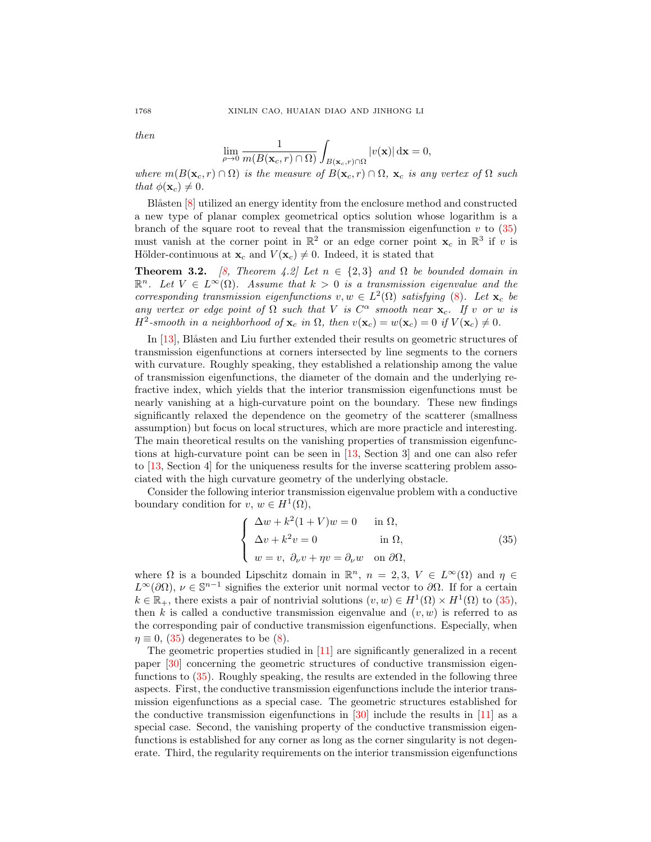then

<span id="page-15-0"></span>
$$
\lim_{\rho \to 0} \frac{1}{m(B(\mathbf{x}_c, r) \cap \Omega)} \int_{B(\mathbf{x}_c, r) \cap \Omega} |v(\mathbf{x})| d\mathbf{x} = 0,
$$

where  $m(B(\mathbf{x}_c, r) \cap \Omega)$  is the measure of  $B(\mathbf{x}_c, r) \cap \Omega$ ,  $\mathbf{x}_c$  is any vertex of  $\Omega$  such that  $\phi(\mathbf{x}_c) \neq 0$ .

Blåsten [\[8\]](#page-27-18) utilized an energy identity from the enclosure method and constructed a new type of planar complex geometrical optics solution whose logarithm is a branch of the square root to reveal that the transmission eigenfunction  $v$  to  $(35)$ must vanish at the corner point in  $\mathbb{R}^2$  or an edge corner point  $\mathbf{x}_c$  in  $\mathbb{R}^3$  if v is Hölder-continuous at  $\mathbf{x}_c$  and  $V(\mathbf{x}_c) \neq 0$ . Indeed, it is stated that

**Theorem 3.2.** [\[8,](#page-27-18) Theorem 4.2] Let  $n \in \{2,3\}$  and  $\Omega$  be bounded domain in  $\mathbb{R}^n$ . Let  $V \in L^{\infty}(\Omega)$ . Assume that  $k > 0$  is a transmission eigenvalue and the corresponding transmission eigenfunctions  $v, w \in L^2(\Omega)$  satisfying [\(8\)](#page-4-0). Let  $\mathbf{x}_c$  be any vertex or edge point of  $\Omega$  such that V is  $C^{\alpha}$  smooth near  $\mathbf{x}_c$ . If v or w is  $H^2$ -smooth in a neighborhood of  $\mathbf{x}_c$  in  $\Omega$ , then  $v(\mathbf{x}_c) = w(\mathbf{x}_c) = 0$  if  $V(\mathbf{x}_c) \neq 0$ .

In  $[13]$ , Blåsten and Liu further extended their results on geometric structures of transmission eigenfunctions at corners intersected by line segments to the corners with curvature. Roughly speaking, they established a relationship among the value of transmission eigenfunctions, the diameter of the domain and the underlying refractive index, which yields that the interior transmission eigenfunctions must be nearly vanishing at a high-curvature point on the boundary. These new findings significantly relaxed the dependence on the geometry of the scatterer (smallness assumption) but focus on local structures, which are more practicle and interesting. The main theoretical results on the vanishing properties of transmission eigenfunctions at high-curvature point can be seen in [\[13,](#page-27-19) Section 3] and one can also refer to [\[13,](#page-27-19) Section 4] for the uniqueness results for the inverse scattering problem associated with the high curvature geometry of the underlying obstacle.

Consider the following interior transmission eigenvalue problem with a conductive boundary condition for  $v, w \in H^1(\Omega)$ ,

$$
\begin{cases}\n\Delta w + k^2 (1 + V) w = 0 & \text{in } \Omega, \\
\Delta v + k^2 v = 0 & \text{in } \Omega, \\
w = v, \ \partial_\nu v + \eta v = \partial_\nu w & \text{on } \partial \Omega,\n\end{cases}
$$
\n(35)

where  $\Omega$  is a bounded Lipschitz domain in  $\mathbb{R}^n$ ,  $n = 2, 3, V \in L^{\infty}(\Omega)$  and  $\eta \in$  $L^{\infty}(\partial\Omega)$ ,  $\nu \in \mathbb{S}^{n-1}$  signifies the exterior unit normal vector to  $\partial\Omega$ . If for a certain  $k \in \mathbb{R}_+$ , there exists a pair of nontrivial solutions  $(v, w) \in H^1(\Omega) \times H^1(\Omega)$  to [\(35\)](#page-15-0), then k is called a conductive transmission eigenvalue and  $(v, w)$  is referred to as the corresponding pair of conductive transmission eigenfunctions. Especially, when  $\eta \equiv 0$ , [\(35\)](#page-15-0) degenerates to be [\(8\)](#page-4-0).

The geometric properties studied in [\[11\]](#page-27-11) are significantly generalized in a recent paper [\[30\]](#page-28-12) concerning the geometric structures of conductive transmission eigenfunctions to [\(35\)](#page-15-0). Roughly speaking, the results are extended in the following three aspects. First, the conductive transmission eigenfunctions include the interior transmission eigenfunctions as a special case. The geometric structures established for the conductive transmission eigenfunctions in  $[30]$  include the results in  $[11]$  as a special case. Second, the vanishing property of the conductive transmission eigenfunctions is established for any corner as long as the corner singularity is not degenerate. Third, the regularity requirements on the interior transmission eigenfunctions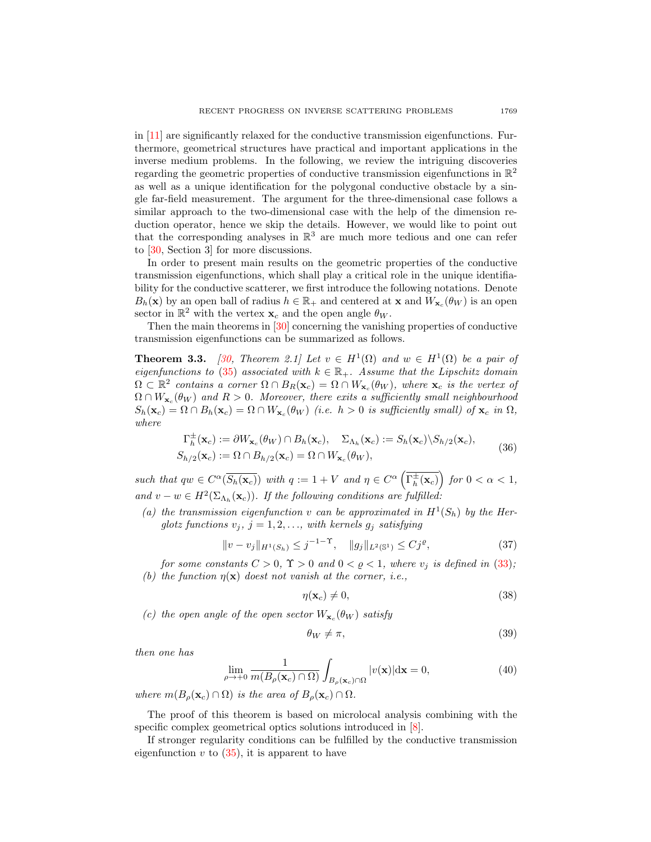in [\[11\]](#page-27-11) are significantly relaxed for the conductive transmission eigenfunctions. Furthermore, geometrical structures have practical and important applications in the inverse medium problems. In the following, we review the intriguing discoveries regarding the geometric properties of conductive transmission eigenfunctions in  $\mathbb{R}^2$ as well as a unique identification for the polygonal conductive obstacle by a single far-field measurement. The argument for the three-dimensional case follows a similar approach to the two-dimensional case with the help of the dimension reduction operator, hence we skip the details. However, we would like to point out that the corresponding analyses in  $\mathbb{R}^3$  are much more tedious and one can refer to [\[30,](#page-28-12) Section 3] for more discussions.

In order to present main results on the geometric properties of the conductive transmission eigenfunctions, which shall play a critical role in the unique identifiability for the conductive scatterer, we first introduce the following notations. Denote  $B_h(\mathbf{x})$  by an open ball of radius  $h \in \mathbb{R}_+$  and centered at **x** and  $W_{\mathbf{x}_c}(\theta_W)$  is an open sector in  $\mathbb{R}^2$  with the vertex  $\mathbf{x}_c$  and the open angle  $\theta_W$ .

Then the main theorems in [\[30\]](#page-28-12) concerning the vanishing properties of conductive transmission eigenfunctions can be summarized as follows.

<span id="page-16-1"></span>**Theorem 3.3.** [\[30,](#page-28-12) Theorem 2.1] Let  $v \in H^1(\Omega)$  and  $w \in H^1(\Omega)$  be a pair of eigenfunctions to [\(35\)](#page-15-0) associated with  $k \in \mathbb{R}_+$ . Assume that the Lipschitz domain  $\Omega \subset \mathbb{R}^2$  contains a corner  $\Omega \cap B_R(\mathbf{x}_c) = \Omega \cap W_{\mathbf{x}_c}(\theta_W)$ , where  $\mathbf{x}_c$  is the vertex of  $\Omega \cap W_{\mathbf{x}_c}(\theta_W)$  and  $R > 0$ . Moreover, there exits a sufficiently small neighbourhood  $S_h(\mathbf{x}_c) = \Omega \cap B_h(\mathbf{x}_c) = \Omega \cap W_{\mathbf{x}_c}(\theta_W)$  (i.e.  $h > 0$  is sufficiently small) of  $\mathbf{x}_c$  in  $\Omega$ , where

$$
\Gamma_h^{\pm}(\mathbf{x}_c) := \partial W_{\mathbf{x}_c}(\theta_W) \cap B_h(\mathbf{x}_c), \quad \Sigma_{\Lambda_h}(\mathbf{x}_c) := S_h(\mathbf{x}_c) \setminus S_{h/2}(\mathbf{x}_c), \nS_{h/2}(\mathbf{x}_c) := \Omega \cap B_{h/2}(\mathbf{x}_c) = \Omega \cap W_{\mathbf{x}_c}(\theta_W),
$$
\n(36)

<span id="page-16-0"></span>such that  $qw \in C^{\alpha}(\overline{S_h(\mathbf{x}_c)})$  with  $q := 1 + V$  and  $\eta \in C^{\alpha}(\overline{\Gamma_h^{\pm}(\mathbf{x}_c)})$  for  $0 < \alpha < 1$ , and  $v - w \in H^2(\Sigma_{\Lambda_h}(\mathbf{x}_c))$ . If the following conditions are fulfilled:

(a) the transmission eigenfunction v can be approximated in  $H^1(S_h)$  by the Herglotz functions  $v_j$ ,  $j = 1, 2, \ldots$ , with kernels  $g_j$  satisfying

$$
||v - v_j||_{H^1(S_h)} \le j^{-1-\Upsilon}, \quad ||g_j||_{L^2(\mathbb{S}^1)} \le Cj^{\varrho}, \tag{37}
$$

for some constants  $C > 0$ ,  $\Upsilon > 0$  and  $0 < \varrho < 1$ , where  $v_i$  is defined in [\(33\)](#page-14-1); (b) the function  $\eta(\mathbf{x})$  doest not vanish at the corner, i.e.,

$$
\eta(\mathbf{x}_c) \neq 0,\tag{38}
$$

(c) the open angle of the open sector  $W_{\mathbf{x}_c}(\theta_W)$  satisfy

$$
\theta_W \neq \pi,\tag{39}
$$

then one has

$$
\lim_{\rho \to +0} \frac{1}{m(B_{\rho}(\mathbf{x}_c) \cap \Omega)} \int_{B_{\rho}(\mathbf{x}_c) \cap \Omega} |v(\mathbf{x})| d\mathbf{x} = 0,
$$
\n(40)

where  $m(B_\rho(\mathbf{x}_c) \cap \Omega)$  is the area of  $B_\rho(\mathbf{x}_c) \cap \Omega$ .

The proof of this theorem is based on microlocal analysis combining with the specific complex geometrical optics solutions introduced in [\[8\]](#page-27-18).

If stronger regularity conditions can be fulfilled by the conductive transmission eigenfunction  $v$  to  $(35)$ , it is apparent to have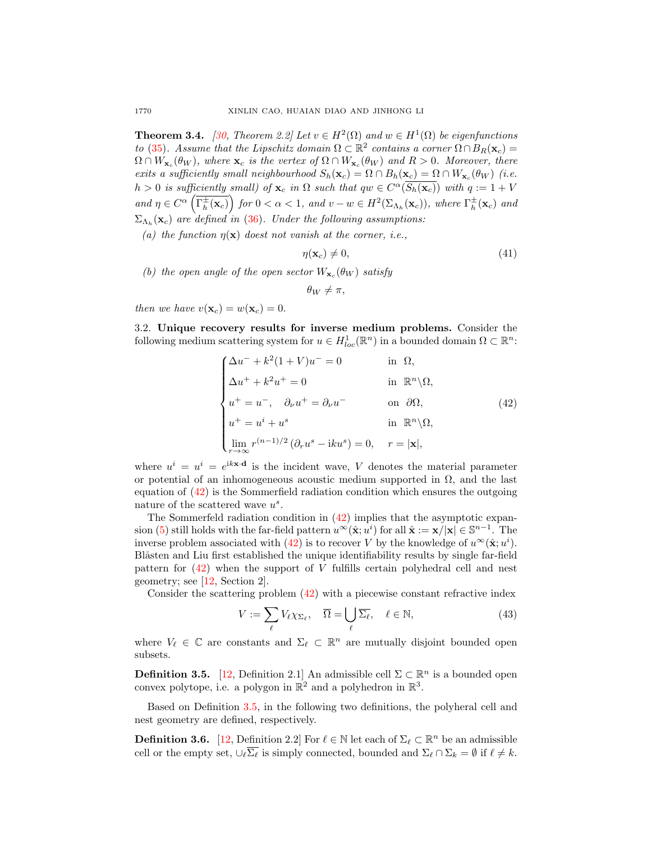<span id="page-17-2"></span>**Theorem 3.4.** [\[30,](#page-28-12) Theorem 2.2] Let  $v \in H^2(\Omega)$  and  $w \in H^1(\Omega)$  be eigenfunctions to [\(35\)](#page-15-0). Assume that the Lipschitz domain  $\Omega \subset \mathbb{R}^2$  contains a corner  $\Omega \cap B_R(\mathbf{x}_c) =$  $\Omega \cap W_{\mathbf{x}_c}(\theta_W)$ , where  $\mathbf{x}_c$  is the vertex of  $\Omega \cap W_{\mathbf{x}_c}(\theta_W)$  and  $R > 0$ . Moreover, there exits a sufficiently small neighbourhood  $S_h(\mathbf{x}_c) = \Omega \cap B_h(\mathbf{x}_c) = \Omega \cap W_{\mathbf{x}_c}(\theta_W)$  (i.e.  $h > 0$  is sufficiently small) of  $\mathbf{x}_c$  in  $\Omega$  such that  $qw \in C^{\alpha}(\overline{S_h(\mathbf{x}_c)})$  with  $q := 1 + V$ and  $\eta \in C^{\alpha}\left(\overline{\Gamma_h^{\pm}(\mathbf{x}_c)}\right)$  for  $0 < \alpha < 1$ , and  $v - w \in H^2(\Sigma_{\Lambda_h}(\mathbf{x}_c))$ , where  $\Gamma_h^{\pm}(\mathbf{x}_c)$  and  $\Sigma_{\Lambda_h}(\mathbf{x}_c)$  are defined in [\(36\)](#page-16-0). Under the following assumptions:

(a) the function  $\eta(\mathbf{x})$  doest not vanish at the corner, i.e.,

$$
\eta(\mathbf{x}_c) \neq 0,\tag{41}
$$

(b) the open angle of the open sector  $W_{\mathbf{x}_c}(\theta_W)$  satisfy

<span id="page-17-0"></span> $\theta_W \neq \pi$ ,

then we have  $v(\mathbf{x}_c) = w(\mathbf{x}_c) = 0$ .

3.2. Unique recovery results for inverse medium problems. Consider the following medium scattering system for  $u \in H^1_{loc}(\mathbb{R}^n)$  in a bounded domain  $\Omega \subset \mathbb{R}^n$ :

$$
\begin{cases}\n\Delta u^{-} + k^{2}(1 + V)u^{-} = 0 & \text{in } \Omega, \\
\Delta u^{+} + k^{2}u^{+} = 0 & \text{in } \mathbb{R}^{n}\backslash\Omega, \\
u^{+} = u^{-}, \quad \partial_{\nu}u^{+} = \partial_{\nu}u^{-} & \text{on } \partial\Omega, \\
u^{+} = u^{i} + u^{s} & \text{in } \mathbb{R}^{n}\backslash\Omega, \\
\lim_{r \to \infty} r^{(n-1)/2}(\partial_{r}u^{s} - iku^{s}) = 0, \quad r = |\mathbf{x}|,\n\end{cases}
$$
\n(42)

where  $u^i = u^i = e^{i k \mathbf{x} \cdot \mathbf{d}}$  is the incident wave, V denotes the material parameter or potential of an inhomogeneous acoustic medium supported in  $\Omega$ , and the last equation of [\(42\)](#page-17-0) is the Sommerfield radiation condition which ensures the outgoing nature of the scattered wave  $u^s$ .

The Sommerfeld radiation condition in [\(42\)](#page-17-0) implies that the asymptotic expan-sion [\(5\)](#page-2-2) still holds with the far-field pattern  $u^{\infty}(\hat{\mathbf{x}}; u^i)$  for all  $\hat{\mathbf{x}} := \mathbf{x}/|\mathbf{x}| \in \mathbb{S}^{n-1}$ . The inverse problem associated with [\(42\)](#page-17-0) is to recover V by the knowledge of  $u^{\infty}(\hat{\mathbf{x}}; u^i)$ . Blåsten and Liu first established the unique identifiability results by single far-field pattern for [\(42\)](#page-17-0) when the support of V fulfills certain polyhedral cell and nest geometry; see [\[12,](#page-27-8) Section 2].

Consider the scattering problem [\(42\)](#page-17-0) with a piecewise constant refractive index

<span id="page-17-3"></span>
$$
V := \sum_{\ell} V_{\ell} \chi_{\Sigma_{\ell}}, \quad \overline{\Omega} = \bigcup_{\ell} \overline{\Sigma_{\ell}}, \quad \ell \in \mathbb{N}, \tag{43}
$$

where  $V_{\ell} \in \mathbb{C}$  are constants and  $\Sigma_{\ell} \subset \mathbb{R}^n$  are mutually disjoint bounded open subsets.

<span id="page-17-1"></span>**Definition 3.5.** [\[12,](#page-27-8) Definition 2.1] An admissible cell  $\Sigma \subset \mathbb{R}^n$  is a bounded open convex polytope, i.e. a polygon in  $\mathbb{R}^2$  and a polyhedron in  $\mathbb{R}^3$ .

Based on Definition [3.5,](#page-17-1) in the following two definitions, the polyheral cell and nest geometry are defined, respectively.

**Definition 3.6.** [\[12,](#page-27-8) Definition 2.2] For  $\ell \in \mathbb{N}$  let each of  $\Sigma_{\ell} \subset \mathbb{R}^n$  be an admissible cell or the empty set,  $\cup_{\ell} \overline{\Sigma_{\ell}}$  is simply connected, bounded and  $\Sigma_{\ell} \cap \Sigma_{k} = \emptyset$  if  $\ell \neq k$ .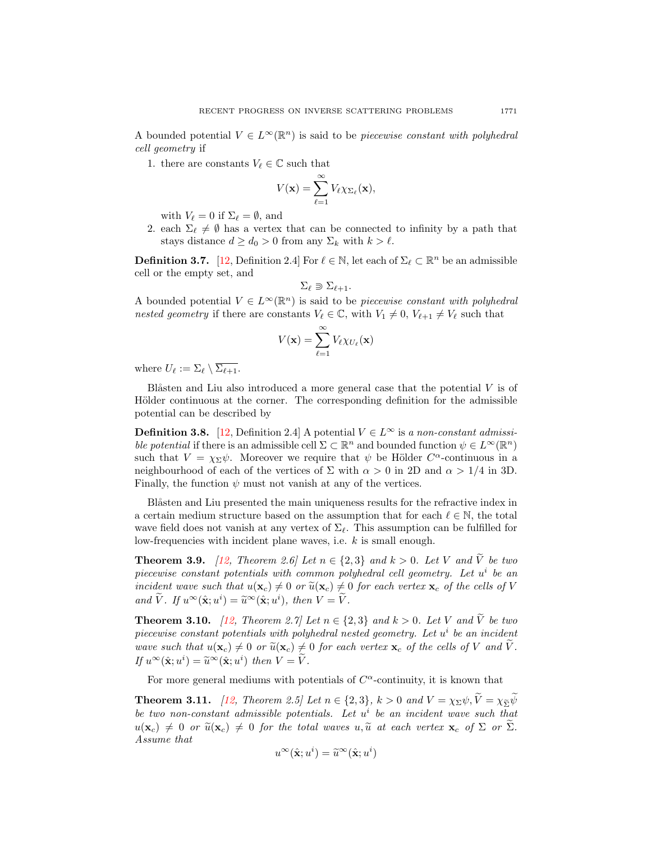A bounded potential  $V \in L^{\infty}(\mathbb{R}^n)$  is said to be *piecewise constant with polyhedral* cell geometry if

1. there are constants  $V_{\ell} \in \mathbb{C}$  such that

$$
V(\mathbf{x}) = \sum_{\ell=1}^{\infty} V_{\ell} \chi_{\Sigma_{\ell}}(\mathbf{x}),
$$

with  $V_\ell = 0$  if  $\Sigma_\ell = \emptyset$ , and

2. each  $\Sigma_{\ell} \neq \emptyset$  has a vertex that can be connected to infinity by a path that stays distance  $d \geq d_0 > 0$  from any  $\Sigma_k$  with  $k > \ell$ .

<span id="page-18-3"></span>**Definition 3.7.** [\[12,](#page-27-8) Definition 2.4] For  $\ell \in \mathbb{N}$ , let each of  $\Sigma_{\ell} \subset \mathbb{R}^n$  be an admissible cell or the empty set, and

$$
\Sigma_{\ell} \supset \Sigma_{\ell+1}.
$$

A bounded potential  $V \in L^{\infty}(\mathbb{R}^n)$  is said to be *piecewise constant with polyhedral* nested geometry if there are constants  $V_\ell \in \mathbb{C}$ , with  $V_1 \neq 0$ ,  $V_{\ell+1} \neq V_\ell$  such that

$$
V(\mathbf{x}) = \sum_{\ell=1}^{\infty} V_{\ell} \chi_{U_{\ell}}(\mathbf{x})
$$

where  $U_{\ell} := \Sigma_{\ell} \setminus \overline{\Sigma_{\ell+1}}$ .

Blåsten and Liu also introduced a more general case that the potential  $V$  is of Hölder continuous at the corner. The corresponding definition for the admissible potential can be described by

<span id="page-18-4"></span>**Definition 3.8.** [\[12,](#page-27-8) Definition 2.4] A potential  $V \in L^{\infty}$  is a non-constant admissible potential if there is an admissible cell  $\Sigma \subset \mathbb{R}^n$  and bounded function  $\psi \in L^\infty(\mathbb{R}^n)$ such that  $V = \chi_{\Sigma} \psi$ . Moreover we require that  $\psi$  be Hölder  $C^{\alpha}$ -continuous in a neighbourhood of each of the vertices of  $\Sigma$  with  $\alpha > 0$  in 2D and  $\alpha > 1/4$  in 3D. Finally, the function  $\psi$  must not vanish at any of the vertices.

Blåsten and Liu presented the main uniqueness results for the refractive index in a certain medium structure based on the assumption that for each  $\ell \in \mathbb{N}$ , the total wave field does not vanish at any vertex of  $\Sigma_{\ell}$ . This assumption can be fulfilled for low-frequencies with incident plane waves, i.e. k is small enough.

<span id="page-18-0"></span>**Theorem 3.9.** [\[12,](#page-27-8) Theorem 2.6] Let  $n \in \{2,3\}$  and  $k > 0$ . Let V and V be two piecewise constant potentials with common polyhedral cell geometry. Let  $u^i$  be an incident wave such that  $u(\mathbf{x}_c) \neq 0$  or  $\tilde{u}(\mathbf{x}_c) \neq 0$  for each vertex  $\mathbf{x}_c$  of the cells of V and  $\tilde{V}$ . If  $u^{\infty}(\hat{\mathbf{x}}; u^i) = \tilde{u}^{\infty}(\hat{\mathbf{x}}; u^i)$ , then  $V = \tilde{V}$ .

<span id="page-18-1"></span>**Theorem 3.10.** [\[12,](#page-27-8) Theorem 2.7] Let  $n \in \{2,3\}$  and  $k > 0$ . Let V and  $\widetilde{V}$  be two piecewise constant potentials with polyhedral nested geometry. Let  $u^i$  be an incident wave such that  $u(\mathbf{x}_c) \neq 0$  or  $\widetilde{u}(\mathbf{x}_c) \neq 0$  for each vertex  $\mathbf{x}_c$  of the cells of V and V. If  $u^{\infty}(\hat{\mathbf{x}}; u^i) = \tilde{u}^{\infty}(\hat{\mathbf{x}}; u^i)$  then  $V = \tilde{V}$ .

For more general mediums with potentials of  $C^{\alpha}$ -continuity, it is known that

<span id="page-18-2"></span>**Theorem 3.11.** [\[12,](#page-27-8) Theorem 2.5] Let  $n \in \{2,3\}$ ,  $k > 0$  and  $V = \chi_{\Sigma} \psi$ ,  $\widetilde{V} = \chi_{\widetilde{\Sigma}} \widetilde{\psi}$ be two non-constant admissible potentials. Let  $u^i$  be an incident wave such that  $u(\mathbf{x}_c) \neq 0$  or  $\widetilde{u}(\mathbf{x}_c) \neq 0$  for the total waves  $u, \widetilde{u}$  at each vertex  $\mathbf{x}_c$  of  $\Sigma$  or  $\Sigma$ . Assume that

$$
u^{\infty}(\hat{\mathbf{x}}; u^i) = \widetilde{u}^{\infty}(\hat{\mathbf{x}}; u^i)
$$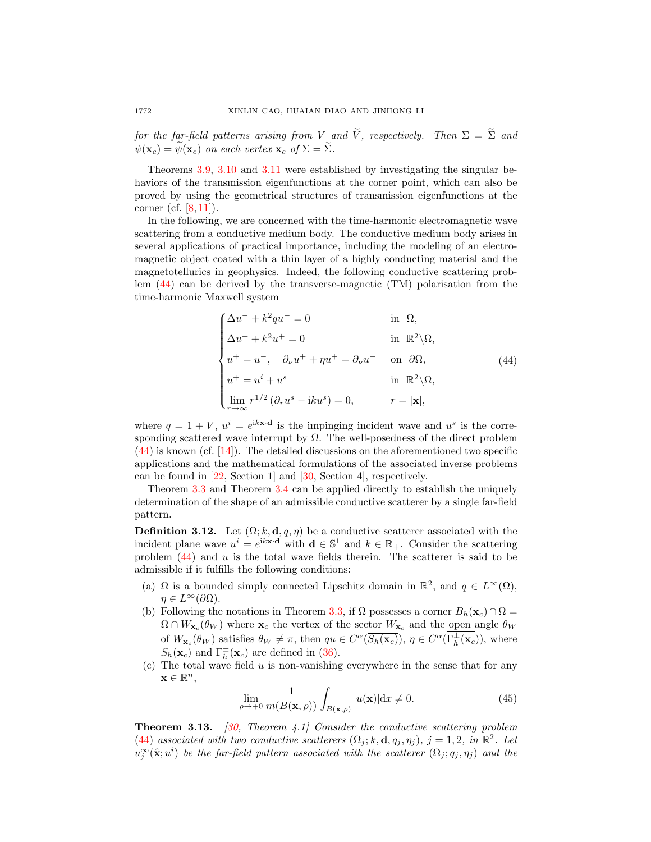for the far-field patterns arising from V and  $\widetilde{V}$ , respectively. Then  $\Sigma = \widetilde{\Sigma}$  and  $\psi(\mathbf{x}_c) = \widetilde{\psi}(\mathbf{x}_c)$  on each vertex  $\mathbf{x}_c$  of  $\Sigma = \widetilde{\Sigma}$ .

Theorems [3.9,](#page-18-0) [3.10](#page-18-1) and [3.11](#page-18-2) were established by investigating the singular behaviors of the transmission eigenfunctions at the corner point, which can also be proved by using the geometrical structures of transmission eigenfunctions at the corner (cf. [\[8,](#page-27-18) [11\]](#page-27-11)).

In the following, we are concerned with the time-harmonic electromagnetic wave scattering from a conductive medium body. The conductive medium body arises in several applications of practical importance, including the modeling of an electromagnetic object coated with a thin layer of a highly conducting material and the magnetotellurics in geophysics. Indeed, the following conductive scattering problem [\(44\)](#page-19-0) can be derived by the transverse-magnetic (TM) polarisation from the time-harmonic Maxwell system

<span id="page-19-0"></span>
$$
\begin{cases}\n\Delta u^{-} + k^{2}qu^{-} = 0 & \text{in } \Omega, \\
\Delta u^{+} + k^{2}u^{+} = 0 & \text{in } \mathbb{R}^{2}\backslash\Omega, \\
u^{+} = u^{-}, \quad \partial_{\nu}u^{+} + \eta u^{+} = \partial_{\nu}u^{-} & \text{on } \partial\Omega, \\
u^{+} = u^{i} + u^{s} & \text{in } \mathbb{R}^{2}\backslash\Omega, \\
\lim_{r \to \infty} r^{1/2} (\partial_{r}u^{s} - iku^{s}) = 0, & r = |\mathbf{x}|,\n\end{cases}
$$
\n(44)

where  $q = 1 + V$ ,  $u^{i} = e^{ik \times d}$  is the impinging incident wave and  $u^{s}$  is the corresponding scattered wave interrupt by  $\Omega$ . The well-posedness of the direct problem [\(44\)](#page-19-0) is known (cf. [\[14\]](#page-27-20)). The detailed discussions on the aforementioned two specific applications and the mathematical formulations of the associated inverse problems can be found in [\[22,](#page-27-9) Section 1] and [\[30,](#page-28-12) Section 4], respectively.

Theorem [3.3](#page-16-1) and Theorem [3.4](#page-17-2) can be applied directly to establish the uniquely determination of the shape of an admissible conductive scatterer by a single far-field pattern.

<span id="page-19-1"></span>**Definition 3.12.** Let  $(\Omega; k, \mathbf{d}, q, \eta)$  be a conductive scatterer associated with the incident plane wave  $u^i = e^{i k \mathbf{x} \cdot \mathbf{d}}$  with  $\mathbf{d} \in \mathbb{S}^1$  and  $k \in \mathbb{R}_+$ . Consider the scattering problem [\(44\)](#page-19-0) and u is the total wave fields therein. The scatterer is said to be admissible if it fulfills the following conditions:

- (a)  $\Omega$  is a bounded simply connected Lipschitz domain in  $\mathbb{R}^2$ , and  $q \in L^{\infty}(\Omega)$ ,  $\eta \in L^{\infty}(\partial \Omega)$ .
- (b) Following the notations in Theorem [3.3,](#page-16-1) if  $\Omega$  possesses a corner  $B_h(\mathbf{x}_c) \cap \Omega =$  $\Omega \cap W_{\mathbf{x}_c}(\theta_W)$  where  $\mathbf{x}_c$  the vertex of the sector  $W_{\mathbf{x}_c}$  and the open angle  $\theta_W$ of  $W_{\mathbf{x}_c}(\theta_W)$  satisfies  $\theta_W \neq \pi$ , then  $qu \in C^{\alpha}(\overline{S_h(\mathbf{x}_c)})$ ,  $\eta \in C^{\alpha}(\overline{\Gamma_h^{\pm}(\mathbf{x}_c)})$ , where  $S_h(\mathbf{x}_c)$  and  $\Gamma_h^{\pm}(\mathbf{x}_c)$  are defined in [\(36\)](#page-16-0).
- $(c)$  The total wave field  $u$  is non-vanishing everywhere in the sense that for any  $\mathbf{x} \in \mathbb{R}^n$

$$
\lim_{\rho \to +0} \frac{1}{m(B(\mathbf{x}, \rho))} \int_{B(\mathbf{x}, \rho)} |u(\mathbf{x})| \, \mathrm{d}x \neq 0. \tag{45}
$$

**Theorem 3.13.** [\[30,](#page-28-12) Theorem 4.1] Consider the conductive scattering problem [\(44\)](#page-19-0) associated with two conductive scatterers  $(\Omega_j; k, \mathbf{d}, q_j, \eta_j)$ ,  $j = 1, 2$ , in  $\mathbb{R}^2$ . Let  $u_j^{\infty}(\hat{\mathbf{x}}; u^i)$  be the far-field pattern associated with the scatterer  $(\Omega_j; q_j, \eta_j)$  and the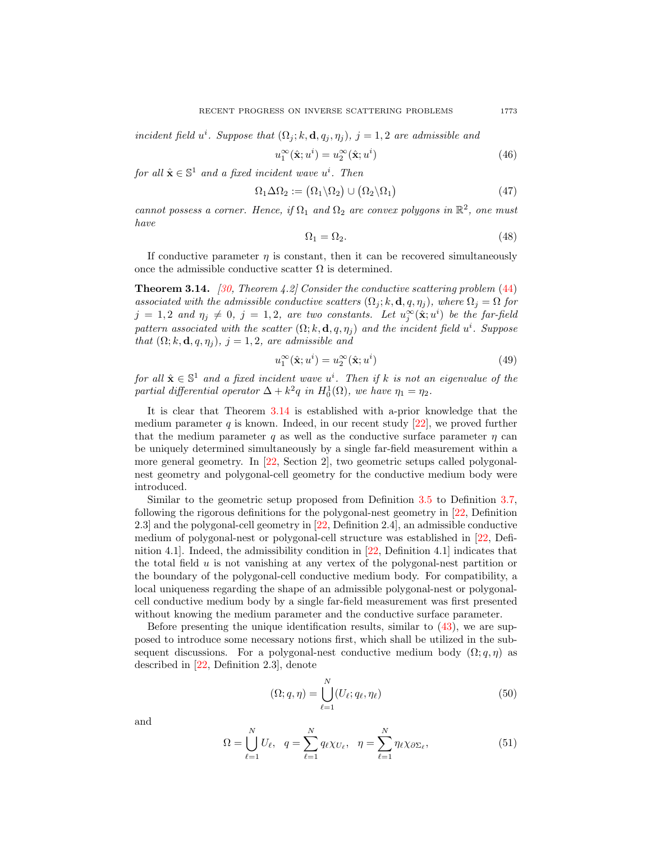incident field  $u^i$ . Suppose that  $(\Omega_j; k, \mathbf{d}, q_j, \eta_j)$ ,  $j = 1, 2$  are admissible and

$$
u_1^{\infty}(\hat{\mathbf{x}}; u^i) = u_2^{\infty}(\hat{\mathbf{x}}; u^i)
$$
\n(46)

for all  $\hat{\mathbf{x}} \in \mathbb{S}^1$  and a fixed incident wave  $u^i$ . Then

$$
\Omega_1 \Delta \Omega_2 := (\Omega_1 \backslash \Omega_2) \cup (\Omega_2 \backslash \Omega_1) \tag{47}
$$

cannot possess a corner. Hence, if  $\Omega_1$  and  $\Omega_2$  are convex polygons in  $\mathbb{R}^2$ , one must have

$$
\Omega_1 = \Omega_2. \tag{48}
$$

If conductive parameter  $\eta$  is constant, then it can be recovered simultaneously once the admissible conductive scatter  $\Omega$  is determined.

<span id="page-20-0"></span>**Theorem 3.14.** [\[30,](#page-28-12) Theorem 4.2] Consider the conductive scattering problem  $(44)$ associated with the admissible conductive scatters  $(\Omega_i; k, \mathbf{d}, q, \eta_i)$ , where  $\Omega_i = \Omega$  for  $j = 1, 2$  and  $\eta_j \neq 0, j = 1, 2$ , are two constants. Let  $u_j^{\infty}(\hat{\mathbf{x}}; u^i)$  be the far-field pattern associated with the scatter  $(\Omega; k, \mathbf{d}, q, \eta_j)$  and the incident field  $u^i$ . Suppose that  $(\Omega; k, \mathbf{d}, q, \eta_i), j = 1, 2$ , are admissible and

$$
u_1^{\infty}(\hat{\mathbf{x}}; u^i) = u_2^{\infty}(\hat{\mathbf{x}}; u^i)
$$
\n(49)

for all  $\hat{\mathbf{x}} \in \mathbb{S}^1$  and a fixed incident wave  $u^i$ . Then if k is not an eigenvalue of the partial differential operator  $\Delta + k^2 q$  in  $H_0^1(\Omega)$ , we have  $\eta_1 = \eta_2$ .

It is clear that Theorem [3.14](#page-20-0) is established with a-prior knowledge that the medium parameter q is known. Indeed, in our recent study  $[22]$ , we proved further that the medium parameter q as well as the conductive surface parameter  $\eta$  can be uniquely determined simultaneously by a single far-field measurement within a more general geometry. In [\[22,](#page-27-9) Section 2], two geometric setups called polygonalnest geometry and polygonal-cell geometry for the conductive medium body were introduced.

Similar to the geometric setup proposed from Definition [3.5](#page-17-1) to Definition [3.7,](#page-18-3) following the rigorous definitions for the polygonal-nest geometry in [\[22,](#page-27-9) Definition 2.3] and the polygonal-cell geometry in [\[22,](#page-27-9) Definition 2.4], an admissible conductive medium of polygonal-nest or polygonal-cell structure was established in [\[22,](#page-27-9) Definition 4.1]. Indeed, the admissibility condition in [\[22,](#page-27-9) Definition 4.1] indicates that the total field  $u$  is not vanishing at any vertex of the polygonal-nest partition or the boundary of the polygonal-cell conductive medium body. For compatibility, a local uniqueness regarding the shape of an admissible polygonal-nest or polygonalcell conductive medium body by a single far-field measurement was first presented without knowing the medium parameter and the conductive surface parameter.

Before presenting the unique identification results, similar to [\(43\)](#page-17-3), we are supposed to introduce some necessary notions first, which shall be utilized in the subsequent discussions. For a polygonal-nest conductive medium body  $(\Omega; q, \eta)$  as described in [\[22,](#page-27-9) Definition 2.3], denote

<span id="page-20-1"></span>
$$
(\Omega; q, \eta) = \bigcup_{\ell=1}^{N} (U_{\ell}; q_{\ell}, \eta_{\ell})
$$
\n(50)

and

<span id="page-20-2"></span>
$$
\Omega = \bigcup_{\ell=1}^{N} U_{\ell}, \quad q = \sum_{\ell=1}^{N} q_{\ell} \chi_{U_{\ell}}, \quad \eta = \sum_{\ell=1}^{N} \eta_{\ell} \chi_{\partial \Sigma_{\ell}}, \tag{51}
$$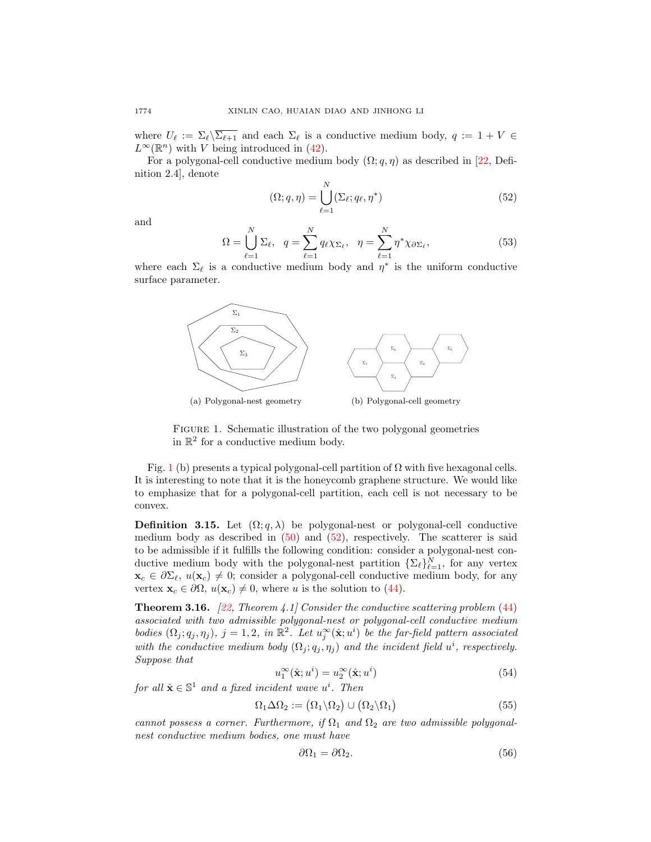where  $U_\ell := \Sigma_\ell \backslash \overline{\Sigma_{\ell+1}}$  and each  $\Sigma_\ell$  is a conductive medium body,  $q := 1 + V \in$  $L^{\infty}(\mathbb{R}^n)$  with V being introduced in [\(42\)](#page-17-0).

For a polygonal-cell conductive medium body  $(\Omega; q, \eta)$  as described in [\[22,](#page-27-9) Definition 2.4], denote

<span id="page-21-1"></span>
$$
(\Omega; q, \eta) = \bigcup_{\ell=1}^{N} (\Sigma_{\ell}; q_{\ell}, \eta^*)
$$
\n(52)

and

<span id="page-21-3"></span>
$$
\Omega = \bigcup_{\ell=1}^{N} \Sigma_{\ell}, \quad q = \sum_{\ell=1}^{N} q_{\ell} \chi_{\Sigma_{\ell}}, \quad \eta = \sum_{\ell=1}^{N} \eta^* \chi_{\partial \Sigma_{\ell}}, \tag{53}
$$

where each  $\Sigma_{\ell}$  is a conductive medium body and  $\eta^*$  is the uniform conductive surface parameter.



<span id="page-21-0"></span>FIGURE 1. Schematic illustration of the two polygonal geometries in  $\mathbb{R}^2$  for a conductive medium body.

Fig. [1](#page-21-0) (b) presents a typical polygonal-cell partition of  $\Omega$  with five hexagonal cells. It is interesting to note that it is the honeycomb graphene structure. We would like to emphasize that for a polygonal-cell partition, each cell is not necessary to be convex.

**Definition 3.15.** Let  $(\Omega; q, \lambda)$  be polygonal-nest or polygonal-cell conductive medium body as described in  $(50)$  and  $(52)$ , respectively. The scatterer is said to be admissible if it fulfills the following condition: consider a polygonal-nest conductive medium body with the polygonal-nest partition  $\{\Sigma_{\ell}\}_{\ell=1}^N$ , for any vertex  $\mathbf{x}_c \in \partial \Sigma_{\ell}$ ,  $u(\mathbf{x}_c) \neq 0$ ; consider a polygonal-cell conductive medium body, for any vertex  $\mathbf{x}_c \in \partial \Omega$ ,  $u(\mathbf{x}_c) \neq 0$ , where u is the solution to [\(44\)](#page-19-0).

<span id="page-21-2"></span>**Theorem 3.16.** [\[22,](#page-27-9) Theorem 4.1] Consider the conductive scattering problem  $(44)$ associated with two admissible polygonal-nest or polygonal-cell conductive medium bodies  $(\Omega_j; q_j, \eta_j)$ ,  $j = 1, 2$ , in  $\mathbb{R}^2$ . Let  $u_j^{\infty}(\hat{\mathbf{x}}; u^i)$  be the far-field pattern associated with the conductive medium body  $(\Omega_j; q_j, \eta_j)$  and the incident field  $u^i$ , respectively. Suppose that

$$
u_1^{\infty}(\hat{\mathbf{x}}; u^i) = u_2^{\infty}(\hat{\mathbf{x}}; u^i)
$$
\n(54)

for all  $\hat{\mathbf{x}} \in \mathbb{S}^1$  and a fixed incident wave  $u^i$ . Then

$$
\Omega_1 \Delta \Omega_2 := (\Omega_1 \backslash \Omega_2) \cup (\Omega_2 \backslash \Omega_1) \tag{55}
$$

cannot possess a corner. Furthermore, if  $\Omega_1$  and  $\Omega_2$  are two admissible polygonalnest conductive medium bodies, one must have

$$
\partial \Omega_1 = \partial \Omega_2. \tag{56}
$$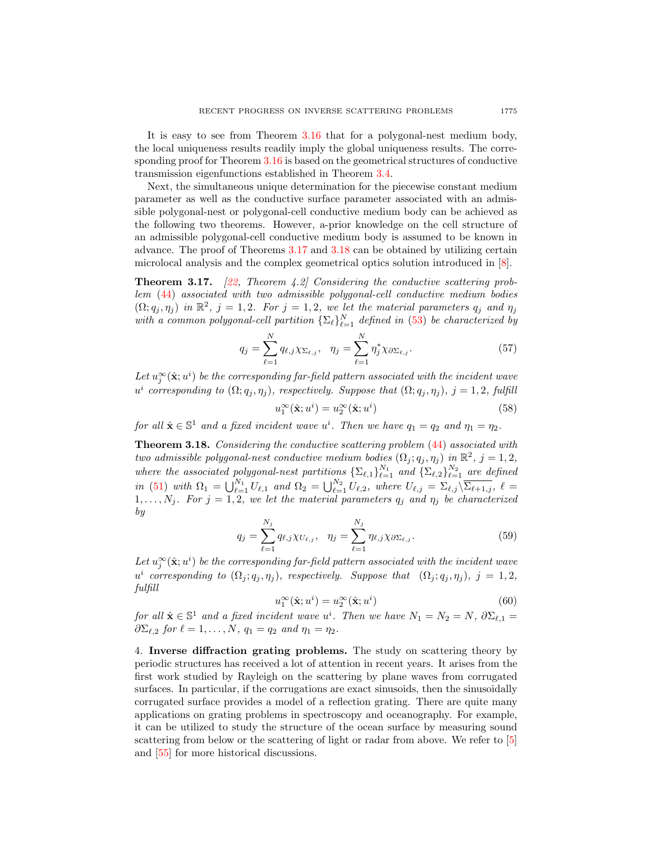It is easy to see from Theorem [3.16](#page-21-2) that for a polygonal-nest medium body, the local uniqueness results readily imply the global uniqueness results. The corresponding proof for Theorem [3.16](#page-21-2) is based on the geometrical structures of conductive transmission eigenfunctions established in Theorem [3.4.](#page-17-2)

Next, the simultaneous unique determination for the piecewise constant medium parameter as well as the conductive surface parameter associated with an admissible polygonal-nest or polygonal-cell conductive medium body can be achieved as the following two theorems. However, a-prior knowledge on the cell structure of an admissible polygonal-cell conductive medium body is assumed to be known in advance. The proof of Theorems [3.17](#page-22-1) and [3.18](#page-22-2) can be obtained by utilizing certain microlocal analysis and the complex geometrical optics solution introduced in [\[8\]](#page-27-18).

<span id="page-22-1"></span>**Theorem 3.17.** [\[22,](#page-27-9) Theorem 4.2] Considering the conductive scattering problem [\(44\)](#page-19-0) associated with two admissible polygonal-cell conductive medium bodies  $(\Omega; q_j, \eta_j)$  in  $\mathbb{R}^2$ ,  $j = 1, 2$ . For  $j = 1, 2$ , we let the material parameters  $q_j$  and  $\eta_j$ with a common polygonal-cell partition  $\{\Sigma_{\ell}\}_{\ell=1}^N$  defined in [\(53\)](#page-21-3) be characterized by

$$
q_j = \sum_{\ell=1}^N q_{\ell,j} \chi_{\Sigma_{\ell,j}}, \quad \eta_j = \sum_{\ell=1}^N \eta_j^* \chi_{\partial \Sigma_{\ell,j}}.
$$
 (57)

Let  $u_j^{\infty}(\hat{\mathbf{x}};u^i)$  be the corresponding far-field pattern associated with the incident wave  $u^i$  corresponding to  $(\Omega; q_j, \eta_j)$ , respectively. Suppose that  $(\Omega; q_j, \eta_j)$ ,  $j = 1, 2$ , fulfill

$$
u_1^{\infty}(\hat{\mathbf{x}}; u^i) = u_2^{\infty}(\hat{\mathbf{x}}; u^i)
$$
\n(58)

for all  $\hat{\mathbf{x}} \in \mathbb{S}^1$  and a fixed incident wave  $u^i$ . Then we have  $q_1 = q_2$  and  $\eta_1 = \eta_2$ .

<span id="page-22-2"></span>Theorem 3.18. Considering the conductive scattering problem [\(44\)](#page-19-0) associated with two admissible polygonal-nest conductive medium bodies  $(\Omega_j; q_j, \eta_j)$  in  $\mathbb{R}^2$ ,  $j = 1, 2$ , where the associated polygonal-nest partitions  $\{\Sigma_{\ell,1}\}_{\ell=1}^{N_1}$  and  $\{\Sigma_{\ell,2}\}_{\ell=1}^{N_2}$  are defined in [\(51\)](#page-20-2) with  $\Omega_1 = \bigcup_{\ell=1}^{N_1} U_{\ell,1}$  and  $\Omega_2 = \bigcup_{\ell=1}^{N_2} U_{\ell,2}$ , where  $U_{\ell,j} = \Sigma_{\ell,j} \setminus \overline{\Sigma_{\ell+1,j}}$ ,  $\ell =$  $1, \ldots, N_j$ . For  $j = 1, 2$ , we let the material parameters  $q_j$  and  $\eta_j$  be characterized by

$$
q_j = \sum_{\ell=1}^{N_j} q_{\ell,j} \chi_{U_{\ell,j}}, \quad \eta_j = \sum_{\ell=1}^{N_j} \eta_{\ell,j} \chi_{\partial \Sigma_{\ell,j}}.
$$
 (59)

Let  $u_j^{\infty}(\hat{\mathbf{x}}; u^i)$  be the corresponding far-field pattern associated with the incident wave  $u^i$  corresponding to  $(\Omega_j; q_j, \eta_j)$ , respectively. Suppose that  $(\Omega_j; q_j, \eta_j)$ ,  $j = 1, 2$ , fulfill

$$
u_1^{\infty}(\hat{\mathbf{x}}; u^i) = u_2^{\infty}(\hat{\mathbf{x}}; u^i)
$$
\n(60)

for all  $\hat{\mathbf{x}} \in \mathbb{S}^1$  and a fixed incident wave  $u^i$ . Then we have  $N_1 = N_2 = N$ ,  $\partial \Sigma_{\ell,1} =$  $\partial \Sigma_{\ell,2}$  for  $\ell = 1, \ldots, N, q_1 = q_2$  and  $\eta_1 = \eta_2$ .

<span id="page-22-0"></span>4. Inverse diffraction grating problems. The study on scattering theory by periodic structures has received a lot of attention in recent years. It arises from the first work studied by Rayleigh on the scattering by plane waves from corrugated surfaces. In particular, if the corrugations are exact sinusoids, then the sinusoidally corrugated surface provides a model of a reflection grating. There are quite many applications on grating problems in spectroscopy and oceanography. For example, it can be utilized to study the structure of the ocean surface by measuring sound scattering from below or the scattering of light or radar from above. We refer to [\[5\]](#page-27-12) and [\[55\]](#page-29-1) for more historical discussions.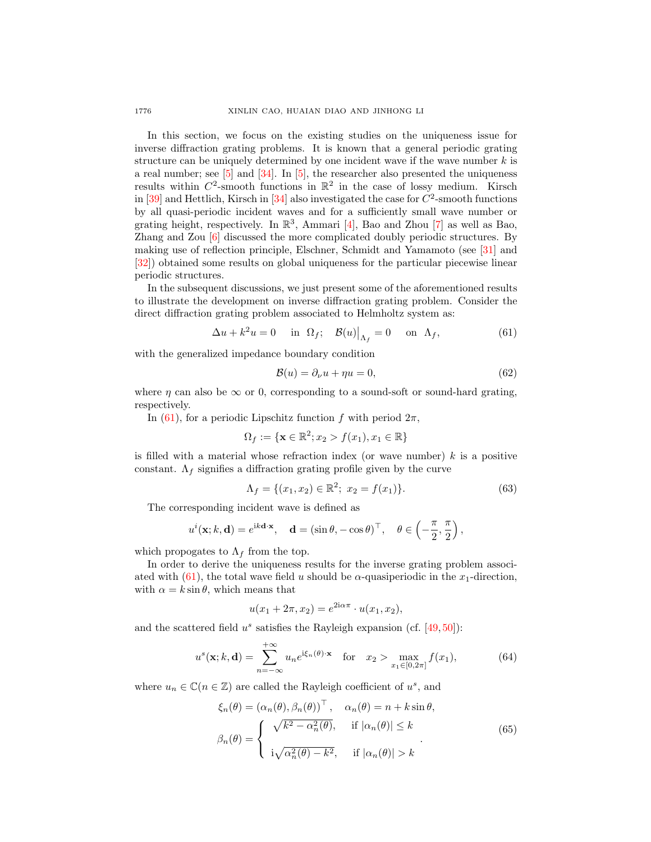In this section, we focus on the existing studies on the uniqueness issue for inverse diffraction grating problems. It is known that a general periodic grating structure can be uniquely determined by one incident wave if the wave number  $k$  is a real number; see  $[5]$  and  $[34]$ . In  $[5]$ , the researcher also presented the uniqueness results within  $C^2$ -smooth functions in  $\mathbb{R}^2$  in the case of lossy medium. Kirsch in  $[39]$  and Hettlich, Kirsch in  $[34]$  also investigated the case for  $C^2$ -smooth functions by all quasi-periodic incident waves and for a sufficiently small wave number or grating height, respectively. In  $\mathbb{R}^3$ , Ammari [\[4\]](#page-27-21), Bao and Zhou [\[7\]](#page-27-22) as well as Bao, Zhang and Zou [\[6\]](#page-27-23) discussed the more complicated doubly periodic structures. By making use of reflection principle, Elschner, Schmidt and Yamamoto (see [\[31\]](#page-28-21) and [\[32\]](#page-28-22)) obtained some results on global uniqueness for the particular piecewise linear periodic structures.

In the subsequent discussions, we just present some of the aforementioned results to illustrate the development on inverse diffraction grating problem. Consider the direct diffraction grating problem associated to Helmholtz system as:

<span id="page-23-0"></span>
$$
\Delta u + k^2 u = 0 \quad \text{in } \Omega_f; \quad \mathcal{B}(u)|_{\Lambda_f} = 0 \quad \text{on } \Lambda_f,\tag{61}
$$

with the generalized impedance boundary condition

<span id="page-23-1"></span>
$$
\mathcal{B}(u) = \partial_{\nu} u + \eta u = 0,\tag{62}
$$

where  $\eta$  can also be  $\infty$  or 0, corresponding to a sound-soft or sound-hard grating, respectively.

In [\(61\)](#page-23-0), for a periodic Lipschitz function f with period  $2\pi$ ,

$$
\Omega_f := \{ \mathbf{x} \in \mathbb{R}^2; x_2 > f(x_1), x_1 \in \mathbb{R} \}
$$

is filled with a material whose refraction index (or wave number)  $k$  is a positive constant.  $\Lambda_f$  signifies a diffraction grating profile given by the curve

<span id="page-23-2"></span>
$$
\Lambda_f = \{ (x_1, x_2) \in \mathbb{R}^2; \ x_2 = f(x_1) \}. \tag{63}
$$

The corresponding incident wave is defined as

$$
u^{i}(\mathbf{x}; k, \mathbf{d}) = e^{ik\mathbf{d}\cdot\mathbf{x}}, \quad \mathbf{d} = (\sin \theta, -\cos \theta)^{\top}, \quad \theta \in \left(-\frac{\pi}{2}, \frac{\pi}{2}\right),
$$

which propogates to  $\Lambda_f$  from the top.

In order to derive the uniqueness results for the inverse grating problem associ-ated with [\(61\)](#page-23-0), the total wave field u should be  $\alpha$ -quasiperiodic in the  $x_1$ -direction, with  $\alpha = k \sin \theta$ , which means that

$$
u(x_1 + 2\pi, x_2) = e^{2i\alpha\pi} \cdot u(x_1, x_2),
$$

and the scattered field  $u^s$  satisfies the Rayleigh expansion (cf. [\[49,](#page-28-23) [50\]](#page-28-24)):

$$
u^s(\mathbf{x}; k, \mathbf{d}) = \sum_{n = -\infty}^{+\infty} u_n e^{i\xi_n(\theta) \cdot \mathbf{x}} \quad \text{for} \quad x_2 > \max_{x_1 \in [0, 2\pi]} f(x_1), \tag{64}
$$

where  $u_n \in \mathbb{C}(n \in \mathbb{Z})$  are called the Rayleigh coefficient of  $u^s$ , and

$$
\xi_n(\theta) = (\alpha_n(\theta), \beta_n(\theta))^\top, \quad \alpha_n(\theta) = n + k \sin \theta,
$$

$$
\beta_n(\theta) = \begin{cases} \sqrt{k^2 - \alpha_n^2(\theta)}, & \text{if } |\alpha_n(\theta)| \le k \\ i\sqrt{\alpha_n^2(\theta) - k^2}, & \text{if } |\alpha_n(\theta)| > k \end{cases}
$$
(65)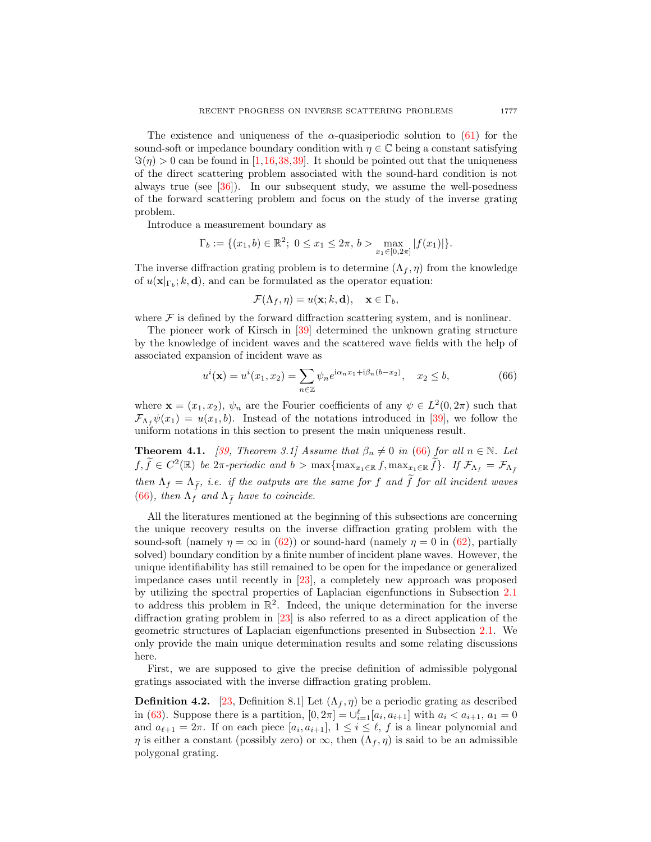The existence and uniqueness of the  $\alpha$ -quasiperiodic solution to [\(61\)](#page-23-0) for the sound-soft or impedance boundary condition with  $\eta \in \mathbb{C}$  being a constant satisfying  $\Im(\eta) > 0$  can be found in [\[1,](#page-27-24)[16,](#page-27-25)[38,](#page-28-25)[39\]](#page-28-20). It should be pointed out that the uniqueness of the direct scattering problem associated with the sound-hard condition is not always true (see [\[36\]](#page-28-26)). In our subsequent study, we assume the well-posedness of the forward scattering problem and focus on the study of the inverse grating problem.

Introduce a measurement boundary as

$$
\Gamma_b := \{ (x_1, b) \in \mathbb{R}^2; \ 0 \le x_1 \le 2\pi, \, b > \max_{x_1 \in [0, 2\pi]} |f(x_1)| \}.
$$

The inverse diffraction grating problem is to determine  $(\Lambda_f, \eta)$  from the knowledge of  $u(\mathbf{x}|_{\Gamma_b}; k, \mathbf{d})$ , and can be formulated as the operator equation:

<span id="page-24-0"></span>
$$
\mathcal{F}(\Lambda_f, \eta) = u(\mathbf{x}; k, \mathbf{d}), \quad \mathbf{x} \in \Gamma_b,
$$

where  $\mathcal F$  is defined by the forward diffraction scattering system, and is nonlinear.

The pioneer work of Kirsch in [\[39\]](#page-28-20) determined the unknown grating structure by the knowledge of incident waves and the scattered wave fields with the help of associated expansion of incident wave as

$$
u^{i}(\mathbf{x}) = u^{i}(x_{1}, x_{2}) = \sum_{n \in \mathbb{Z}} \psi_{n} e^{i\alpha_{n}x_{1} + i\beta_{n}(b - x_{2})}, \quad x_{2} \leq b,
$$
 (66)

where  $\mathbf{x} = (x_1, x_2), \psi_n$  are the Fourier coefficients of any  $\psi \in L^2(0, 2\pi)$  such that  $\mathcal{F}_{\Lambda_f}\psi(x_1) = u(x_1, b)$ . Instead of the notations introduced in [\[39\]](#page-28-20), we follow the uniform notations in this section to present the main uniqueness result.

**Theorem 4.1.** [\[39,](#page-28-20) Theorem 3.1] Assume that  $\beta_n \neq 0$  in [\(66\)](#page-24-0) for all  $n \in \mathbb{N}$ . Let  $f, \tilde{f} \in C^2(\mathbb{R})$  be  $2\pi$ -periodic and  $b > \max\{\max_{x_1 \in \mathbb{R}} f, \max_{x_2 \in \mathbb{R}} \tilde{f}\}\$ . If  $\mathcal{F}_{\Lambda_f} = \mathcal{F}_{\Lambda_{\tilde{f}}}$ then  $\Lambda_f = \Lambda_{\tilde{f}}$ , i.e. if the outputs are the same for f and  $\tilde{f}$  for all incident waves [\(66\)](#page-24-0), then  $\Lambda_f$  and  $\Lambda_{\tilde{f}}$  have to coincide.

All the literatures mentioned at the beginning of this subsections are concerning the unique recovery results on the inverse diffraction grating problem with the sound-soft (namely  $\eta = \infty$  in [\(62\)](#page-23-1)) or sound-hard (namely  $\eta = 0$  in (62), partially solved) boundary condition by a finite number of incident plane waves. However, the unique identifiability has still remained to be open for the impedance or generalized impedance cases until recently in [\[23\]](#page-27-4), a completely new approach was proposed by utilizing the spectral properties of Laplacian eigenfunctions in Subsection [2.1](#page-5-1) to address this problem in  $\mathbb{R}^2$ . Indeed, the unique determination for the inverse diffraction grating problem in [\[23\]](#page-27-4) is also referred to as a direct application of the geometric structures of Laplacian eigenfunctions presented in Subsection [2.1.](#page-5-1) We only provide the main unique determination results and some relating discussions here.

First, we are supposed to give the precise definition of admissible polygonal gratings associated with the inverse diffraction grating problem.

**Definition 4.2.** [\[23,](#page-27-4) Definition 8.1] Let  $(\Lambda_f, \eta)$  be a periodic grating as described in [\(63\)](#page-23-2). Suppose there is a partition,  $[0, 2\pi] = \bigcup_{i=1}^{\ell} [a_i, a_{i+1}]$  with  $a_i < a_{i+1}$ ,  $a_1 = 0$ and  $a_{\ell+1} = 2\pi$ . If on each piece  $[a_i, a_{i+1}], 1 \leq i \leq \ell$ , f is a linear polynomial and  $\eta$  is either a constant (possibly zero) or  $\infty$ , then  $(\Lambda_f, \eta)$  is said to be an admissible polygonal grating.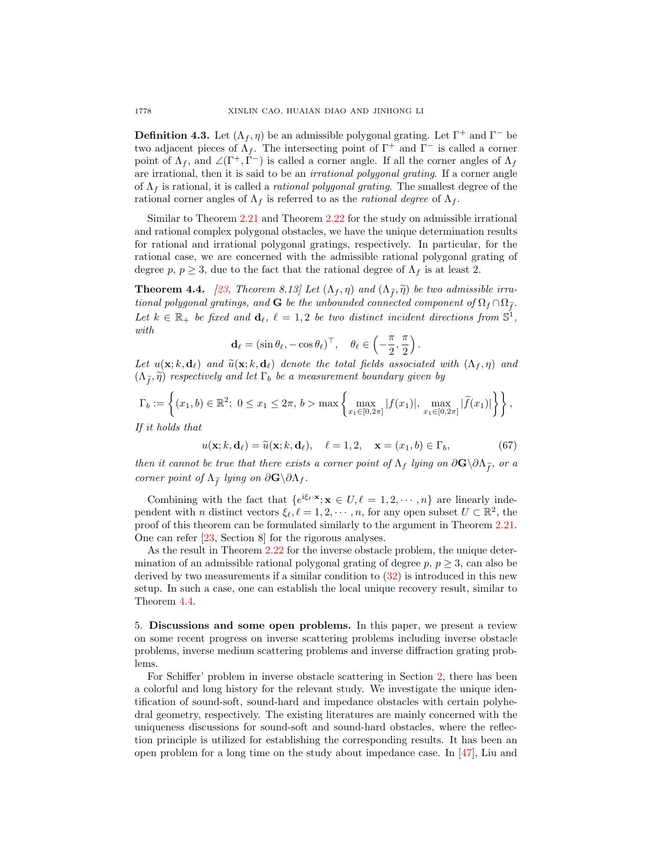**Definition 4.3.** Let  $(\Lambda_f, \eta)$  be an admissible polygonal grating. Let  $\Gamma^+$  and  $\Gamma^-$  be two adjacent pieces of  $\Lambda_f$ . The intersecting point of  $\Gamma^+$  and  $\Gamma^-$  is called a corner point of  $\Lambda_f$ , and  $\angle(\Gamma^+, \dot{\Gamma}^-)$  is called a corner angle. If all the corner angles of  $\Lambda_f$ are irrational, then it is said to be an irrational polygonal grating. If a corner angle of  $\Lambda_f$  is rational, it is called a *rational polygonal grating*. The smallest degree of the rational corner angles of  $\Lambda_f$  is referred to as the *rational degree* of  $\Lambda_f$ .

Similar to Theorem [2.21](#page-11-1) and Theorem [2.22](#page-12-0) for the study on admissible irrational and rational complex polygonal obstacles, we have the unique determination results for rational and irrational polygonal gratings, respectively. In particular, for the rational case, we are concerned with the admissible rational polygonal grating of degree p,  $p \geq 3$ , due to the fact that the rational degree of  $\Lambda_f$  is at least 2.

<span id="page-25-1"></span>**Theorem 4.4.** [\[23,](#page-27-4) Theorem 8.13] Let  $(\Lambda_f, \eta)$  and  $(\Lambda_{\tilde{f}}, \tilde{\eta})$  be two admissible irrational polygonal gratings, and G be the unbounded connected component of  $\Omega_f \cap \Omega_{\tilde{f}}$ . Let  $k \in \mathbb{R}_+$  be fixed and  $\mathbf{d}_{\ell}, \ell = 1, 2$  be two distinct incident directions from  $\mathbb{S}^1$ , with

$$
\mathbf{d}_{\ell} = (\sin \theta_{\ell}, -\cos \theta_{\ell})^{\top}, \quad \theta_{\ell} \in \left(-\frac{\pi}{2}, \frac{\pi}{2}\right)
$$

Let  $u(\mathbf{x}; k, \mathbf{d}_\ell)$  and  $\widetilde{u}(\mathbf{x}; k, \mathbf{d}_\ell)$  denote the total fields associated with  $(\Lambda_f, \eta)$  and  $(\Lambda_{\widetilde{f}}, \widetilde{\eta})$  respectively and let  $\Gamma_b$  be a measurement boundary given by

$$
\Gamma_b := \left\{ (x_1, b) \in \mathbb{R}^2; \ 0 \le x_1 \le 2\pi, \, b > \max\left\{ \max_{x_1 \in [0, 2\pi]} |f(x_1)|, \, \max_{x_1 \in [0, 2\pi]} |\widetilde{f}(x_1)| \right\} \right\},
$$

If it holds that

$$
u(\mathbf{x}; k, \mathbf{d}_{\ell}) = \widetilde{u}(\mathbf{x}; k, \mathbf{d}_{\ell}), \quad \ell = 1, 2, \quad \mathbf{x} = (x_1, b) \in \Gamma_b,
$$
 (67)

.

then it cannot be true that there exists a corner point of  $\Lambda_f$  lying on  $\partial \mathbf{G}\setminus \partial \Lambda_{\tilde{f}}$ , or a corner point of  $\Lambda_{\tilde{f}}$  lying on  $\partial \mathbf{G} \backslash \partial \Lambda_f$ .

Combining with the fact that  $\{e^{i\xi_\ell \cdot \mathbf{x}}; \mathbf{x} \in U, \ell = 1, 2, \cdots, n\}$  are linearly independent with *n* distinct vectors  $\xi_{\ell}, \ell = 1, 2, \cdots, n$ , for any open subset  $U \subset \mathbb{R}^2$ , the proof of this theorem can be formulated similarly to the argument in Theorem [2.21.](#page-11-1) One can refer [\[23,](#page-27-4) Section 8] for the rigorous analyses.

As the result in Theorem [2.22](#page-12-0) for the inverse obstacle problem, the unique determination of an admissible rational polygonal grating of degree  $p, p \geq 3$ , can also be derived by two measurements if a similar condition to [\(32\)](#page-13-0) is introduced in this new setup. In such a case, one can establish the local unique recovery result, similar to Theorem [4.4.](#page-25-1)

<span id="page-25-0"></span>5. Discussions and some open problems. In this paper, we present a review on some recent progress on inverse scattering problems including inverse obstacle problems, inverse medium scattering problems and inverse diffraction grating problems.

For Schiffer' problem in inverse obstacle scattering in Section [2,](#page-5-0) there has been a colorful and long history for the relevant study. We investigate the unique identification of sound-soft, sound-hard and impedance obstacles with certain polyhedral geometry, respectively. The existing literatures are mainly concerned with the uniqueness discussions for sound-soft and sound-hard obstacles, where the reflection principle is utilized for establishing the corresponding results. It has been an open problem for a long time on the study about impedance case. In [\[47\]](#page-28-16), Liu and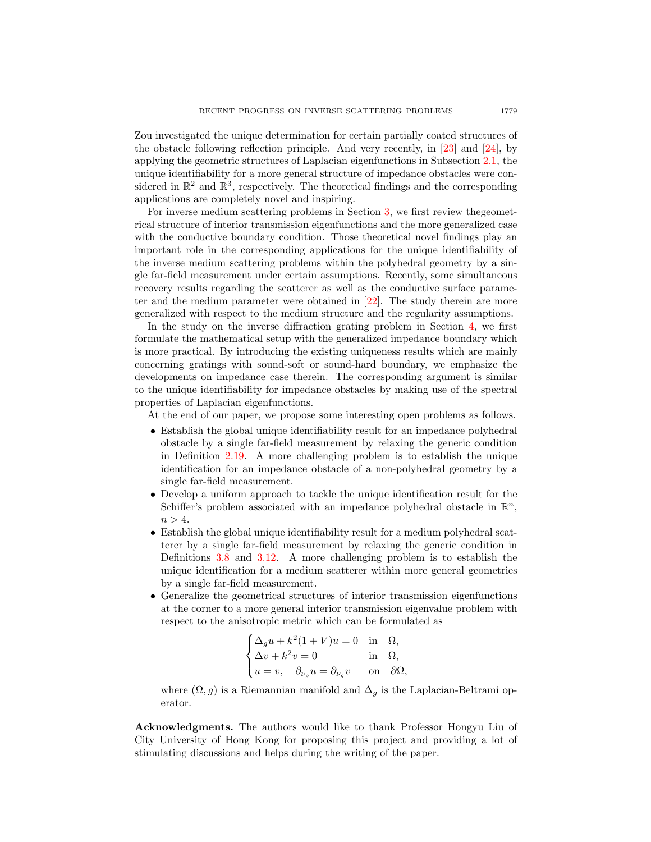Zou investigated the unique determination for certain partially coated structures of the obstacle following reflection principle. And very recently, in [\[23\]](#page-27-4) and [\[24\]](#page-27-5), by applying the geometric structures of Laplacian eigenfunctions in Subsection [2.1,](#page-5-1) the unique identifiability for a more general structure of impedance obstacles were considered in  $\mathbb{R}^2$  and  $\mathbb{R}^3$ , respectively. The theoretical findings and the corresponding applications are completely novel and inspiring.

For inverse medium scattering problems in Section [3,](#page-14-0) we first review thegeometrical structure of interior transmission eigenfunctions and the more generalized case with the conductive boundary condition. Those theoretical novel findings play an important role in the corresponding applications for the unique identifiability of the inverse medium scattering problems within the polyhedral geometry by a single far-field measurement under certain assumptions. Recently, some simultaneous recovery results regarding the scatterer as well as the conductive surface parameter and the medium parameter were obtained in [\[22\]](#page-27-9). The study therein are more generalized with respect to the medium structure and the regularity assumptions.

In the study on the inverse diffraction grating problem in Section [4,](#page-22-0) we first formulate the mathematical setup with the generalized impedance boundary which is more practical. By introducing the existing uniqueness results which are mainly concerning gratings with sound-soft or sound-hard boundary, we emphasize the developments on impedance case therein. The corresponding argument is similar to the unique identifiability for impedance obstacles by making use of the spectral properties of Laplacian eigenfunctions.

At the end of our paper, we propose some interesting open problems as follows.

- Establish the global unique identifiability result for an impedance polyhedral obstacle by a single far-field measurement by relaxing the generic condition in Definition [2.19.](#page-11-2) A more challenging problem is to establish the unique identification for an impedance obstacle of a non-polyhedral geometry by a single far-field measurement.
- Develop a uniform approach to tackle the unique identification result for the Schiffer's problem associated with an impedance polyhedral obstacle in  $\mathbb{R}^n$ ,  $n > 4$ .
- Establish the global unique identifiability result for a medium polyhedral scatterer by a single far-field measurement by relaxing the generic condition in Definitions [3.8](#page-18-4) and [3.12.](#page-19-1) A more challenging problem is to establish the unique identification for a medium scatterer within more general geometries by a single far-field measurement.
- Generalize the geometrical structures of interior transmission eigenfunctions at the corner to a more general interior transmission eigenvalue problem with respect to the anisotropic metric which can be formulated as

$$
\begin{cases} \Delta_g u + k^2 (1+V) u = 0 & \text{in} \quad \Omega, \\ \Delta v + k^2 v = 0 & \text{in} \quad \Omega, \\ u = v, \quad \partial_{\nu_g} u = \partial_{\nu_g} v & \text{on} \quad \partial \Omega, \end{cases}
$$

where  $(\Omega, g)$  is a Riemannian manifold and  $\Delta_g$  is the Laplacian-Beltrami operator.

Acknowledgments. The authors would like to thank Professor Hongyu Liu of City University of Hong Kong for proposing this project and providing a lot of stimulating discussions and helps during the writing of the paper.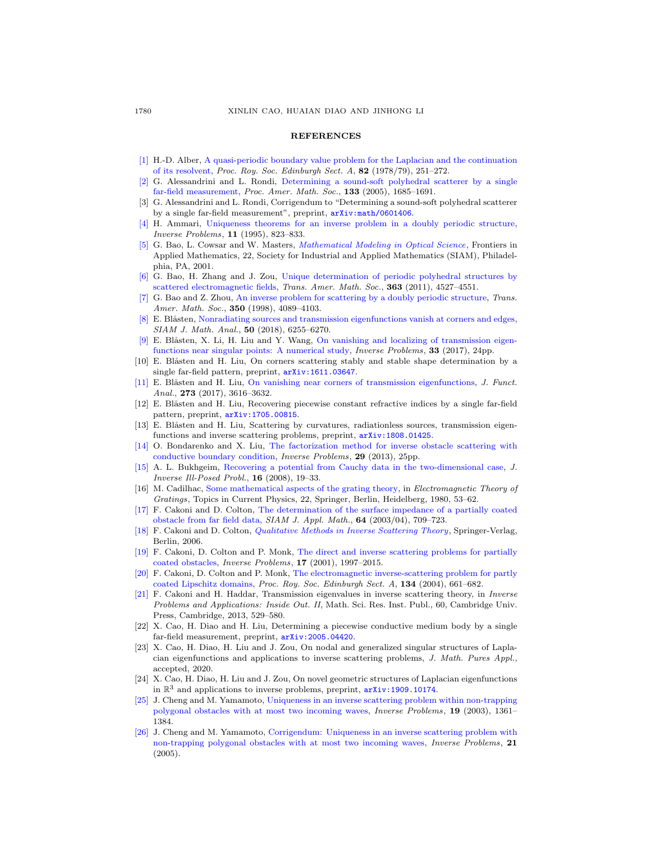## **REFERENCES**

- <span id="page-27-24"></span>[\[1\]](http://www.ams.org/mathscinet-getitem?mr=MR532908&return=pdf) H.-D. Alber, [A quasi-periodic boundary value problem for the Laplacian and the continuation](http://dx.doi.org/10.1017/S0308210500011239) [of its resolvent,](http://dx.doi.org/10.1017/S0308210500011239) Proc. Roy. Soc. Edinburgh Sect. A, 82 (1978/79), 251–272.
- <span id="page-27-0"></span>[\[2\]](http://www.ams.org/mathscinet-getitem?mr=MR2120253&return=pdf) G. Alessandrini and L. Rondi, [Determining a sound-soft polyhedral scatterer by a single](http://dx.doi.org/10.1090/S0002-9939-05-07810-X) [far-field measurement,](http://dx.doi.org/10.1090/S0002-9939-05-07810-X) Proc. Amer. Math. Soc., 133 (2005), 1685–1691.
- <span id="page-27-1"></span>[3] G. Alessandrini and L. Rondi, Corrigendum to "Determining a sound-soft polyhedral scatterer by a single far-field measurement", preprint,  $arXiv:math/0601406$ .
- <span id="page-27-21"></span>[\[4\]](http://www.ams.org/mathscinet-getitem?mr=MR1346000&return=pdf) H. Ammari, [Uniqueness theorems for an inverse problem in a doubly periodic structure,](http://dx.doi.org/10.1088/0266-5611/11/4/013) Inverse Problems, 11 (1995), 823–833.
- <span id="page-27-12"></span>[\[5\]](http://www.ams.org/mathscinet-getitem?mr=MR1831328&return=pdf) G. Bao, L. Cowsar and W. Masters, [Mathematical Modeling in Optical Science](http://dx.doi.org/10.1137/1.9780898717594), Frontiers in Applied Mathematics, 22, Society for Industrial and Applied Mathematics (SIAM), Philadelphia, PA, 2001.
- <span id="page-27-23"></span>[\[6\]](http://www.ams.org/mathscinet-getitem?mr=MR2806682&return=pdf) G. Bao, H. Zhang and J. Zou, [Unique determination of periodic polyhedral structures by](http://dx.doi.org/10.1090/S0002-9947-2011-05334-1) [scattered electromagnetic fields,](http://dx.doi.org/10.1090/S0002-9947-2011-05334-1) Trans. Amer. Math. Soc., 363 (2011), 4527-4551.
- <span id="page-27-22"></span>[\[7\]](http://www.ams.org/mathscinet-getitem?mr=MR1487607&return=pdf) G. Bao and Z. Zhou, [An inverse problem for scattering by a doubly periodic structure,](http://dx.doi.org/10.1090/S0002-9947-98-02227-2) Trans. Amer. Math. Soc., 350 (1998), 4089-4103.
- <span id="page-27-18"></span>[\[8\]](http://www.ams.org/mathscinet-getitem?mr=MR3885754&return=pdf) E. Blåsten, [Nonradiating sources and transmission eigenfunctions vanish at corners and edges,](http://dx.doi.org/10.1137/18M1182048) SIAM J. Math. Anal., 50 (2018), 6255–6270.
- <span id="page-27-17"></span>[\[9\]](http://www.ams.org/mathscinet-getitem?mr=MR3706182&return=pdf) E. Blåsten, X. Li, H. Liu and Y. Wang, [On vanishing and localizing of transmission eigen](http://dx.doi.org/10.1088/1361-6420/aa8826)[functions near singular points: A numerical study,](http://dx.doi.org/10.1088/1361-6420/aa8826) *Inverse Problems*, 33 (2017), 24pp.
- <span id="page-27-7"></span>[10] E. Blåsten and H. Liu, On corners scattering stably and stable shape determination by a single far-field pattern, preprint,  $arXiv:1611.03647$ .
- <span id="page-27-11"></span>[\[11\]](http://www.ams.org/mathscinet-getitem?mr=MR3706612&return=pdf) E. Blåsten and H. Liu, [On vanishing near corners of transmission eigenfunctions,](http://dx.doi.org/10.1016/j.jfa.2017.08.023) J. Funct. Anal., 273 (2017), 3616-3632.
- <span id="page-27-8"></span>[12] E. Blåsten and H. Liu, Recovering piecewise constant refractive indices by a single far-field pattern, preprint,  $arXiv:1705.00815$ .
- <span id="page-27-19"></span>[13] E. Blåsten and H. Liu, Scattering by curvatures, radiationless sources, transmission eigenfunctions and inverse scattering problems, preprint, [arXiv:1808.01425](http://arxiv.org/pdf/1808.01425).
- <span id="page-27-20"></span>[\[14\]](http://www.ams.org/mathscinet-getitem?mr=MR3104937&return=pdf) O. Bondarenko and X. Liu, [The factorization method for inverse obstacle scattering with](http://dx.doi.org/10.1088/0266-5611/29/9/095021) [conductive boundary condition,](http://dx.doi.org/10.1088/0266-5611/29/9/095021) Inverse Problems, 29 (2013), 25pp.
- <span id="page-27-6"></span>[\[15\]](http://www.ams.org/mathscinet-getitem?mr=MR2387648&return=pdf) A. L. Bukhgeim, [Recovering a potential from Cauchy data in the two-dimensional case,](http://dx.doi.org/10.1515/jiip.2008.002) J. Inverse Ill-Posed Probl., 16 (2008), 19–33.
- <span id="page-27-25"></span>[16] M. Cadilhac, [Some mathematical aspects of the grating theory,](http://dx.doi.org/10.1007/978-3-642-81500-3_2) in Electromagnetic Theory of Gratings, Topics in Current Physics, 22, Springer, Berlin, Heidelberg, 1980, 53–62.
- <span id="page-27-13"></span>[\[17\]](http://www.ams.org/mathscinet-getitem?mr=MR2049670&return=pdf) F. Cakoni and D. Colton, [The determination of the surface impedance of a partially coated](http://dx.doi.org/10.1137/S0036139903424254) [obstacle from far field data,](http://dx.doi.org/10.1137/S0036139903424254) SIAM J. Appl. Math., 64 (2003/04), 709–723.
- <span id="page-27-14"></span>[\[18\]](http://www.ams.org/mathscinet-getitem?mr=MR2256477&return=pdf) F. Cakoni and D. Colton, [Qualitative Methods in Inverse Scattering Theory](http://dx.doi.org/10.1007/3-540-31230-7), Springer-Verlag, Berlin, 2006.
- <span id="page-27-15"></span>[\[19\]](http://www.ams.org/mathscinet-getitem?mr=MR1872933&return=pdf) F. Cakoni, D. Colton and P. Monk, [The direct and inverse scattering problems for partially](http://dx.doi.org/10.1088/0266-5611/17/6/327) [coated obstacles,](http://dx.doi.org/10.1088/0266-5611/17/6/327) Inverse Problems, 17 (2001), 1997–2015.
- <span id="page-27-16"></span>[\[20\]](http://www.ams.org/mathscinet-getitem?mr=MR2079799&return=pdf) F. Cakoni, D. Colton and P. Monk, [The electromagnetic inverse-scattering problem for partly](http://dx.doi.org/10.1017/S0308210500003413) [coated Lipschitz domains,](http://dx.doi.org/10.1017/S0308210500003413) Proc. Roy. Soc. Edinburgh Sect. A, 134 (2004), 661–682.
- <span id="page-27-10"></span>[\[21\]](http://www.ams.org/mathscinet-getitem?mr=MR3135766&return=pdf) F. Cakoni and H. Haddar, Transmission eigenvalues in inverse scattering theory, in Inverse Problems and Applications: Inside Out. II, Math. Sci. Res. Inst. Publ., 60, Cambridge Univ. Press, Cambridge, 2013, 529–580.
- <span id="page-27-9"></span>[22] X. Cao, H. Diao and H. Liu, Determining a piecewise conductive medium body by a single far-field measurement, preprint, [arXiv:2005.04420](http://arxiv.org/pdf/2005.04420).
- <span id="page-27-4"></span>[23] X. Cao, H. Diao, H. Liu and J. Zou, On nodal and generalized singular structures of Laplacian eigenfunctions and applications to inverse scattering problems, J. Math. Pures Appl., accepted, 2020.
- <span id="page-27-5"></span>[24] X. Cao, H. Diao, H. Liu and J. Zou, On novel geometric structures of Laplacian eigenfunctions in  $\mathbb{R}^3$  and applications to inverse problems, preprint,  $arXiv:1909.10174$ .
- <span id="page-27-2"></span>[\[25\]](http://www.ams.org/mathscinet-getitem?mr=MR2036535&return=pdf) J. Cheng and M. Yamamoto, [Uniqueness in an inverse scattering problem within non-trapping](http://dx.doi.org/10.1088/0266-5611/19/6/008) [polygonal obstacles with at most two incoming waves,](http://dx.doi.org/10.1088/0266-5611/19/6/008) Inverse Problems, 19 (2003), 1361– 1384.
- <span id="page-27-3"></span>[\[26\]](http://www.ams.org/mathscinet-getitem?mr=MR2146829&return=pdf) J. Cheng and M. Yamamoto, [Corrigendum: Uniqueness in an inverse scattering problem with](http://dx.doi.org/10.1088/0266-5611/21/3/C01) [non-trapping polygonal obstacles with at most two incoming waves,](http://dx.doi.org/10.1088/0266-5611/21/3/C01) Inverse Problems, 21 (2005).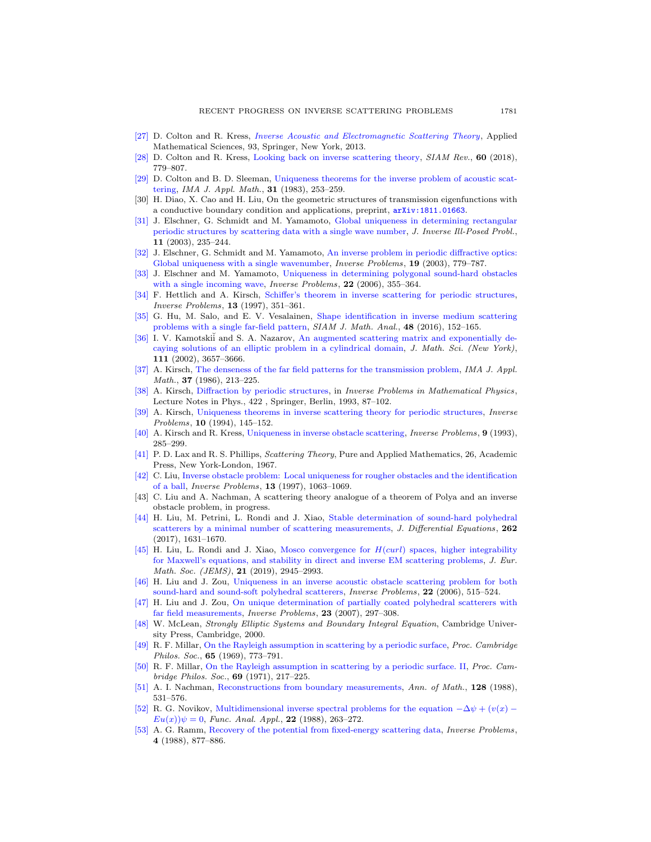- <span id="page-28-0"></span>[\[27\]](http://www.ams.org/mathscinet-getitem?mr=MR2986407&return=pdf) D. Colton and R. Kress, [Inverse Acoustic and Electromagnetic Scattering Theory](http://dx.doi.org/10.1007/978-1-4614-4942-3), Applied Mathematical Sciences, 93, Springer, New York, 2013.
- <span id="page-28-3"></span>[\[28\]](http://www.ams.org/mathscinet-getitem?mr=MR3873017&return=pdf) D. Colton and R. Kress, [Looking back on inverse scattering theory,](http://dx.doi.org/10.1137/17M1144763) SIAM Rev., 60 (2018), 779–807.
- <span id="page-28-4"></span>[\[29\]](http://www.ams.org/mathscinet-getitem?mr=MR729385&return=pdf) D. Colton and B. D. Sleeman, [Uniqueness theorems for the inverse problem of acoustic scat](http://dx.doi.org/10.1093/imamat/31.3.253)[tering,](http://dx.doi.org/10.1093/imamat/31.3.253) IMA J. Appl. Math., 31 (1983), 253–259.
- <span id="page-28-12"></span>[30] H. Diao, X. Cao and H. Liu, On the geometric structures of transmission eigenfunctions with a conductive boundary condition and applications, preprint, [arXiv:1811.01663](http://arxiv.org/pdf/1811.01663).
- <span id="page-28-21"></span>[\[31\]](http://www.ams.org/mathscinet-getitem?mr=MR2001731&return=pdf) J. Elschner, G. Schmidt and M. Yamamoto, [Global uniqueness in determining rectangular](http://dx.doi.org/10.1515/156939403769237024) [periodic structures by scattering data with a single wave number,](http://dx.doi.org/10.1515/156939403769237024) J. Inverse Ill-Posed Probl., 11 (2003), 235–244.
- <span id="page-28-22"></span>[\[32\]](http://www.ams.org/mathscinet-getitem?mr=MR1984889&return=pdf) J. Elschner, G. Schmidt and M. Yamamoto, [An inverse problem in periodic diffractive optics:](http://dx.doi.org/10.1088/0266-5611/19/3/318) [Global uniqueness with a single wavenumber,](http://dx.doi.org/10.1088/0266-5611/19/3/318) *Inverse Problems*, **19** (2003), 779–787.
- <span id="page-28-18"></span>[\[33\]](http://www.ams.org/mathscinet-getitem?mr=MR2194199&return=pdf) J. Elschner and M. Yamamoto, [Uniqueness in determining polygonal sound-hard obstacles](http://dx.doi.org/10.1088/0266-5611/22/1/019) [with a single incoming wave,](http://dx.doi.org/10.1088/0266-5611/22/1/019) *Inverse Problems*, **22** (2006), 355–364.
- <span id="page-28-19"></span>[\[34\]](http://www.ams.org/mathscinet-getitem?mr=MR1445923&return=pdf) F. Hettlich and A. Kirsch, [Schiffer's theorem in inverse scattering for periodic structures,](http://dx.doi.org/10.1088/0266-5611/13/2/010) Inverse Problems, 13 (1997), 351–361.
- <span id="page-28-11"></span>[\[35\]](http://www.ams.org/mathscinet-getitem?mr=MR3439763&return=pdf) G. Hu, M. Salo, and E. V. Vesalainen, [Shape identification in inverse medium scattering](http://dx.doi.org/10.1137/15M1032958) [problems with a single far-field pattern,](http://dx.doi.org/10.1137/15M1032958) SIAM J. Math. Anal., 48 (2016), 152-165.
- <span id="page-28-26"></span>[\[36\]](http://www.ams.org/mathscinet-getitem?mr=MR1796996&return=pdf) I. V. Kamotskii and S. A. Nazarov, [An augmented scattering matrix and exponentially de](http://dx.doi.org/10.1023/A:1016377707919)[caying solutions of an elliptic problem in a cylindrical domain,](http://dx.doi.org/10.1023/A:1016377707919) J. Math. Sci. (New York), 111 (2002), 3657–3666.
- <span id="page-28-13"></span>[\[37\]](http://www.ams.org/mathscinet-getitem?mr=MR983987&return=pdf) A. Kirsch, [The denseness of the far field patterns for the transmission problem,](http://dx.doi.org/10.1093/imamat/37.3.213) IMA J. Appl. Math., **37** (1986), 213-225.
- <span id="page-28-25"></span>[\[38\]](http://www.ams.org/mathscinet-getitem?mr=MR1253778&return=pdf) A. Kirsch, [Diffraction by periodic structures,](http://dx.doi.org/10.1007/3-540-57195-7_11) in Inverse Problems in Mathematical Physics, Lecture Notes in Phys., 422 , Springer, Berlin, 1993, 87–102.
- <span id="page-28-20"></span>[\[39\]](http://www.ams.org/mathscinet-getitem?mr=MR1259442&return=pdf) A. Kirsch, [Uniqueness theorems in inverse scattering theory for periodic structures,](http://dx.doi.org/10.1088/0266-5611/10/1/011) Inverse Problems, 10 (1994), 145–152.
- <span id="page-28-7"></span>[\[40\]](http://www.ams.org/mathscinet-getitem?mr=MR1214288&return=pdf) A. Kirsch and R. Kress, [Uniqueness in inverse obstacle scattering,](http://dx.doi.org/10.1088/0266-5611/9/2/009) Inverse Problems, 9 (1993), 285–299.
- <span id="page-28-2"></span>[\[41\]](http://www.ams.org/mathscinet-getitem?mr=MR0217440&return=pdf) P. D. Lax and R. S. Phillips, Scattering Theory, Pure and Applied Mathematics, 26, Academic Press, New York-London, 1967.
- <span id="page-28-5"></span>[\[42\]](http://www.ams.org/mathscinet-getitem?mr=MR1463593&return=pdf) C. Liu, [Inverse obstacle problem: Local uniqueness for rougher obstacles and the identification](http://dx.doi.org/10.1088/0266-5611/13/4/011) [of a ball,](http://dx.doi.org/10.1088/0266-5611/13/4/011) Inverse Problems, 13 (1997), 1063–1069.
- <span id="page-28-17"></span>[43] C. Liu and A. Nachman, A scattering theory analogue of a theorem of Polya and an inverse obstacle problem, in progress.
- <span id="page-28-14"></span>[\[44\]](http://www.ams.org/mathscinet-getitem?mr=MR3582207&return=pdf) H. Liu, M. Petrini, L. Rondi and J. Xiao, [Stable determination of sound-hard polyhedral](http://dx.doi.org/10.1016/j.jde.2016.10.021) [scatterers by a minimal number of scattering measurements,](http://dx.doi.org/10.1016/j.jde.2016.10.021) J. Differential Equations, 262 (2017), 1631–1670.
- <span id="page-28-15"></span>[\[45\]](http://www.ams.org/mathscinet-getitem?mr=MR3994098&return=pdf) H. Liu, L. Rondi and J. Xiao, Mosco convergence for  $H(curl)$  spaces, higher integrability [for Maxwell's equations, and stability in direct and inverse EM scattering problems,](http://dx.doi.org/10.4171/JEMS/895) J. Eur. Math. Soc. (JEMS), 21 (2019), 2945–2993.
- <span id="page-28-6"></span>[\[46\]](http://www.ams.org/mathscinet-getitem?mr=MR2216412&return=pdf) H. Liu and J. Zou, [Uniqueness in an inverse acoustic obstacle scattering problem for both](http://dx.doi.org/10.1088/0266-5611/22/2/008) [sound-hard and sound-soft polyhedral scatterers,](http://dx.doi.org/10.1088/0266-5611/22/2/008) Inverse Problems, 22 (2006), 515–524.
- <span id="page-28-16"></span>[\[47\]](http://www.ams.org/mathscinet-getitem?mr=MR2302975&return=pdf) H. Liu and J. Zou, [On unique determination of partially coated polyhedral scatterers with](http://dx.doi.org/10.1088/0266-5611/23/1/016) [far field measurements,](http://dx.doi.org/10.1088/0266-5611/23/1/016) Inverse Problems, 23 (2007), 297–308.
- <span id="page-28-1"></span>[\[48\]](http://www.ams.org/mathscinet-getitem?mr=MR1742312&return=pdf) W. McLean, Strongly Elliptic Systems and Boundary Integral Equation, Cambridge University Press, Cambridge, 2000.
- <span id="page-28-23"></span>[\[49\]](http://www.ams.org/mathscinet-getitem?mr=MR250562&return=pdf) R. F. Millar, [On the Rayleigh assumption in scattering by a periodic surface,](http://dx.doi.org/10.1017/S0305004100003613) Proc. Cambridge Philos. Soc., **65** (1969), 773-791.
- <span id="page-28-24"></span>[\[50\]](http://www.ams.org/mathscinet-getitem?mr=MR275761&return=pdf) R. F. Millar, [On the Rayleigh assumption in scattering by a periodic surface. II,](http://dx.doi.org/10.1017/S0305004100046570) Proc. Cambridge Philos. Soc., 69 (1971), 217–225.
- <span id="page-28-8"></span>[\[51\]](http://www.ams.org/mathscinet-getitem?mr=MR970610&return=pdf) A. I. Nachman, [Reconstructions from boundary measurements,](http://dx.doi.org/10.2307/1971435) Ann. of Math., 128 (1988), 531–576.
- <span id="page-28-9"></span>[\[52\]](http://www.ams.org/mathscinet-getitem?mr=MR976992&return=pdf) R. G. Novikov, [Multidimensional inverse spectral problems for the equation](http://dx.doi.org/10.1007/BF01077418)  $-\Delta \psi + (v(x) - \psi(x)))$  $Eu(x))\psi = 0$ , Func. Anal. Appl., 22 (1988), 263-272.
- <span id="page-28-10"></span>[\[53\]](http://www.ams.org/mathscinet-getitem?mr=MR965652&return=pdf) A. G. Ramm, [Recovery of the potential from fixed-energy scattering data,](http://dx.doi.org/10.1088/0266-5611/4/3/020) Inverse Problems, 4 (1988), 877–886.